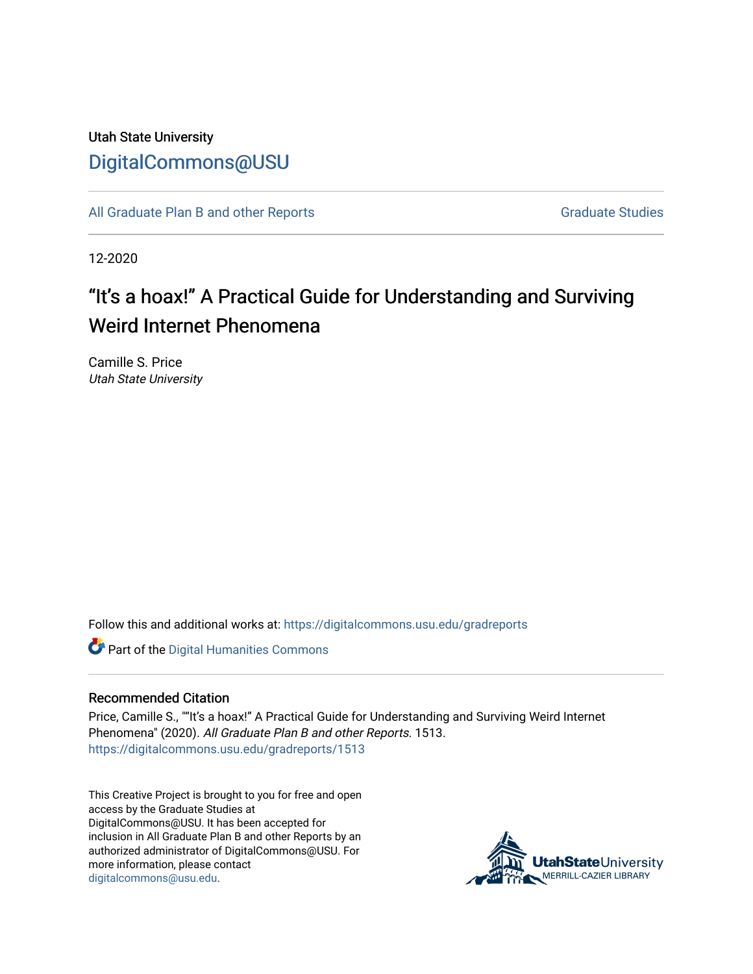# Utah State University [DigitalCommons@USU](https://digitalcommons.usu.edu/)

[All Graduate Plan B and other Reports](https://digitalcommons.usu.edu/gradreports) **Graduate Studies** Graduate Studies

12-2020

# "It's a hoax!" A Practical Guide for Understanding and Surviving Weird Internet Phenomena

Camille S. Price Utah State University

Follow this and additional works at: [https://digitalcommons.usu.edu/gradreports](https://digitalcommons.usu.edu/gradreports?utm_source=digitalcommons.usu.edu%2Fgradreports%2F1513&utm_medium=PDF&utm_campaign=PDFCoverPages)

Part of the [Digital Humanities Commons](http://network.bepress.com/hgg/discipline/1286?utm_source=digitalcommons.usu.edu%2Fgradreports%2F1513&utm_medium=PDF&utm_campaign=PDFCoverPages)

#### Recommended Citation

Price, Camille S., ""It's a hoax!" A Practical Guide for Understanding and Surviving Weird Internet Phenomena" (2020). All Graduate Plan B and other Reports. 1513. [https://digitalcommons.usu.edu/gradreports/1513](https://digitalcommons.usu.edu/gradreports/1513?utm_source=digitalcommons.usu.edu%2Fgradreports%2F1513&utm_medium=PDF&utm_campaign=PDFCoverPages) 

This Creative Project is brought to you for free and open access by the Graduate Studies at DigitalCommons@USU. It has been accepted for inclusion in All Graduate Plan B and other Reports by an authorized administrator of DigitalCommons@USU. For more information, please contact [digitalcommons@usu.edu.](mailto:digitalcommons@usu.edu)

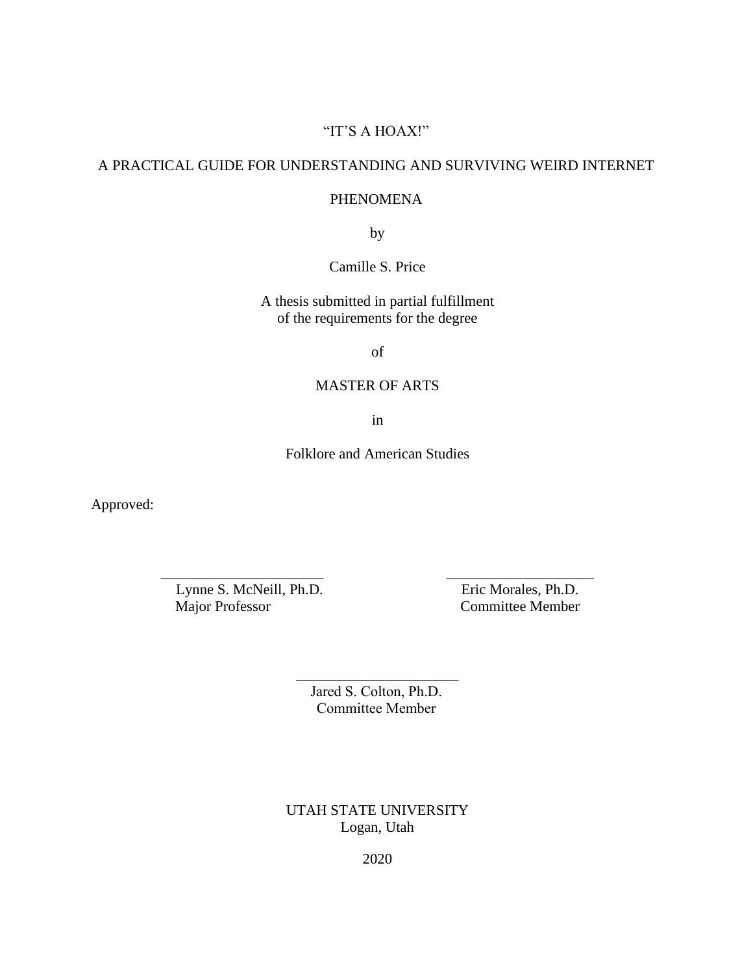# "IT'S A HOAX!"

# A PRACTICAL GUIDE FOR UNDERSTANDING AND SURVIVING WEIRD INTERNET

# PHENOMENA

by

Camille S. Price

A thesis submitted in partial fulfillment of the requirements for the degree

of

# MASTER OF ARTS

in

Folklore and American Studies

\_\_\_\_\_\_\_\_\_\_\_\_\_\_\_\_\_\_\_\_\_\_ \_\_\_\_\_\_\_\_\_\_\_\_\_\_\_\_\_\_\_\_

Approved:

Lynne S. McNeill, Ph.D. Eric Morales, Ph.D.

Committee Member

Jared S. Colton, Ph.D. Committee Member

\_\_\_\_\_\_\_\_\_\_\_\_\_\_\_\_\_\_\_\_\_\_

UTAH STATE UNIVERSITY Logan, Utah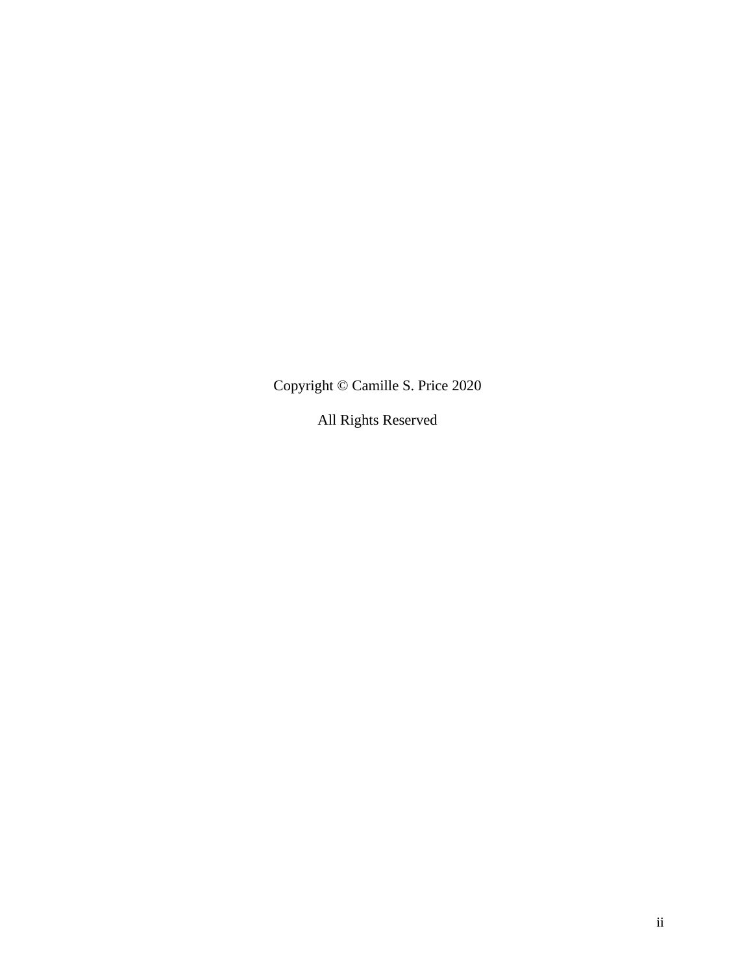Copyright © Camille S. Price 2020

All Rights Reserved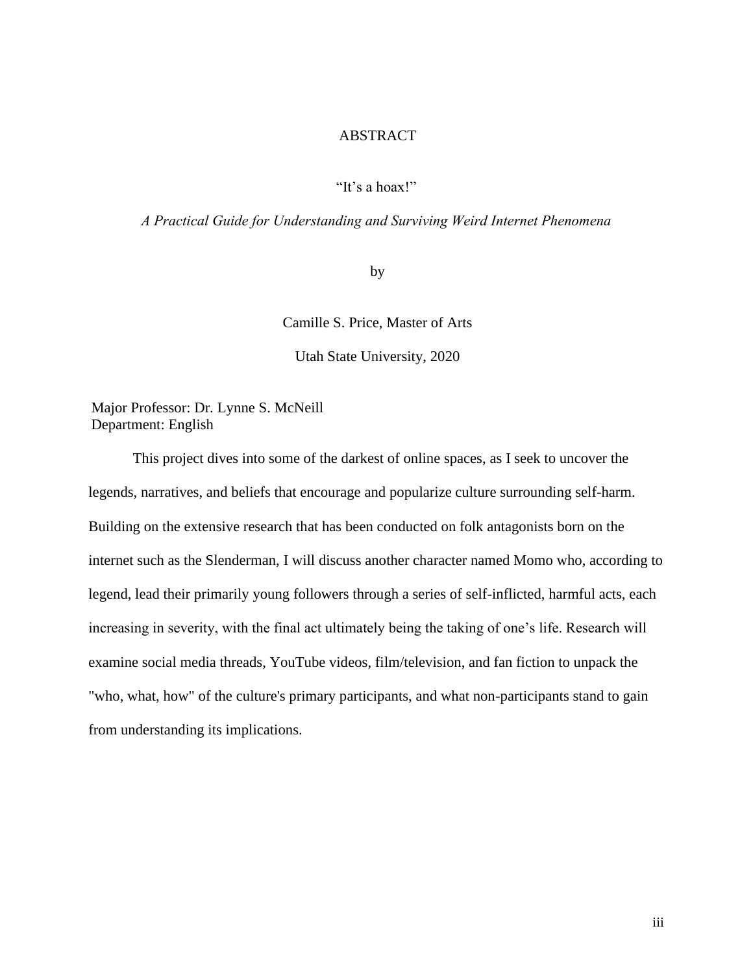# ABSTRACT

#### "It's a hoax!"

#### *A Practical Guide for Understanding and Surviving Weird Internet Phenomena*

by

Camille S. Price, Master of Arts

Utah State University, 2020

Major Professor: Dr. Lynne S. McNeill Department: English

This project dives into some of the darkest of online spaces, as I seek to uncover the legends, narratives, and beliefs that encourage and popularize culture surrounding self-harm. Building on the extensive research that has been conducted on folk antagonists born on the internet such as the Slenderman, I will discuss another character named Momo who, according to legend, lead their primarily young followers through a series of self-inflicted, harmful acts, each increasing in severity, with the final act ultimately being the taking of one's life. Research will examine social media threads, YouTube videos, film/television, and fan fiction to unpack the "who, what, how" of the culture's primary participants, and what non-participants stand to gain from understanding its implications.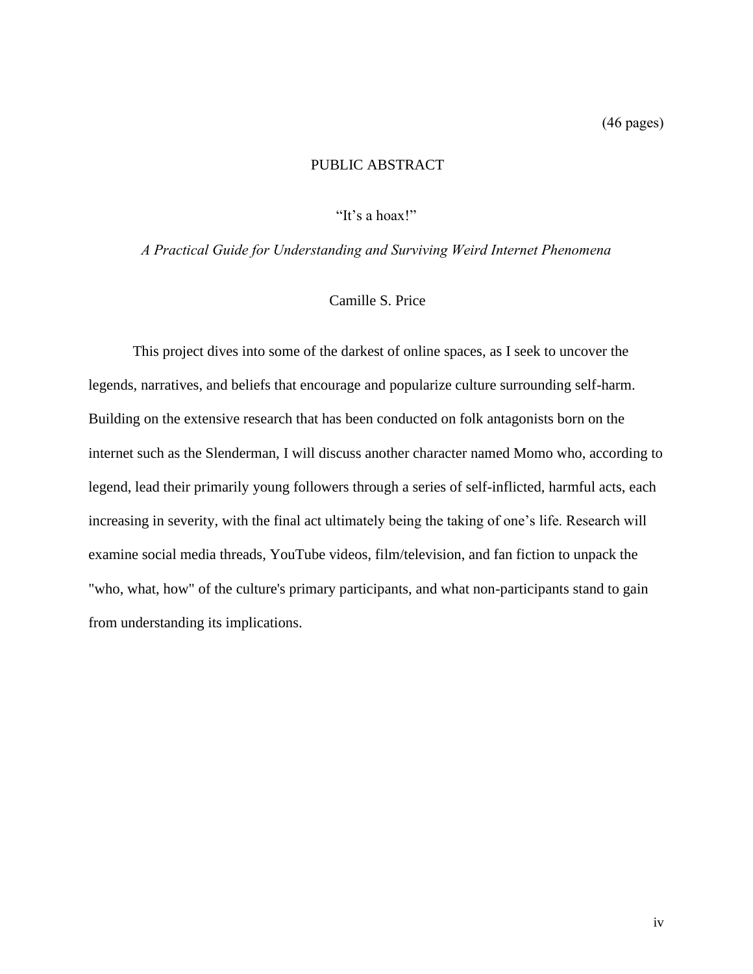# PUBLIC ABSTRACT

"It's a hoax!"

*A Practical Guide for Understanding and Surviving Weird Internet Phenomena*

## Camille S. Price

This project dives into some of the darkest of online spaces, as I seek to uncover the legends, narratives, and beliefs that encourage and popularize culture surrounding self-harm. Building on the extensive research that has been conducted on folk antagonists born on the internet such as the Slenderman, I will discuss another character named Momo who, according to legend, lead their primarily young followers through a series of self-inflicted, harmful acts, each increasing in severity, with the final act ultimately being the taking of one's life. Research will examine social media threads, YouTube videos, film/television, and fan fiction to unpack the "who, what, how" of the culture's primary participants, and what non-participants stand to gain from understanding its implications.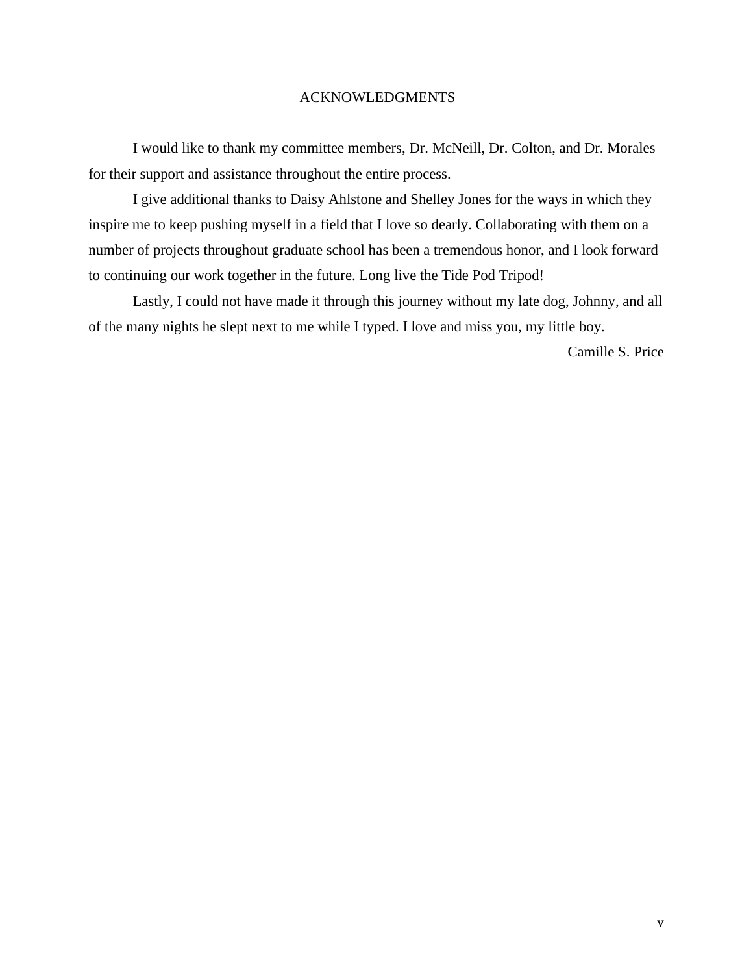## ACKNOWLEDGMENTS

I would like to thank my committee members, Dr. McNeill, Dr. Colton, and Dr. Morales for their support and assistance throughout the entire process.

I give additional thanks to Daisy Ahlstone and Shelley Jones for the ways in which they inspire me to keep pushing myself in a field that I love so dearly. Collaborating with them on a number of projects throughout graduate school has been a tremendous honor, and I look forward to continuing our work together in the future. Long live the Tide Pod Tripod!

Lastly, I could not have made it through this journey without my late dog, Johnny, and all of the many nights he slept next to me while I typed. I love and miss you, my little boy.

Camille S. Price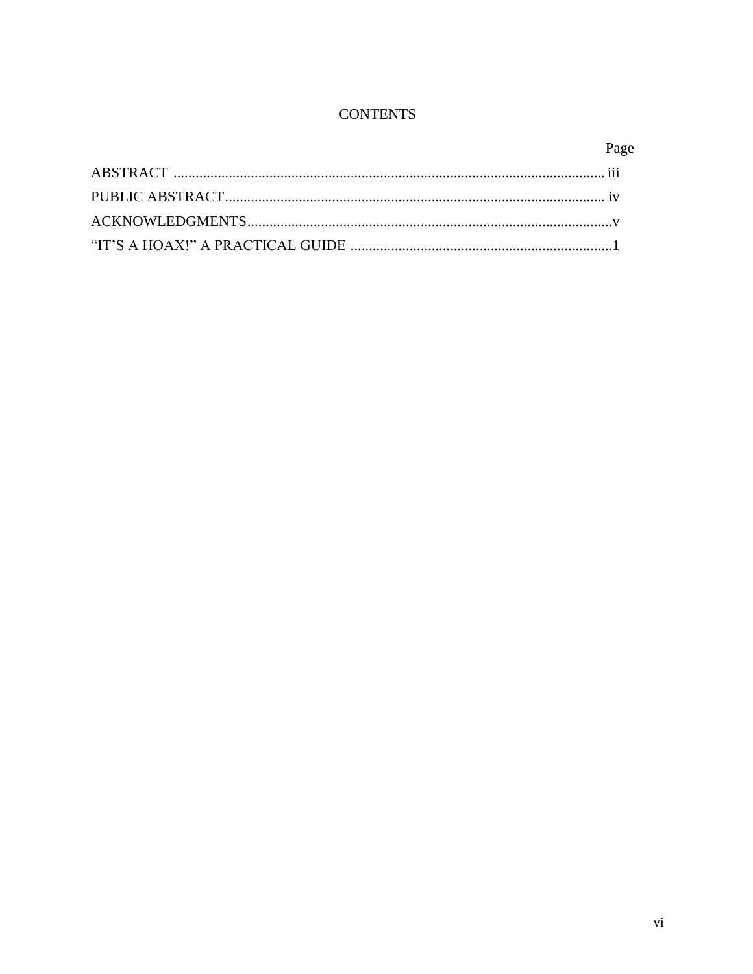# **CONTENTS**

| Page |
|------|
|      |
|      |
|      |
|      |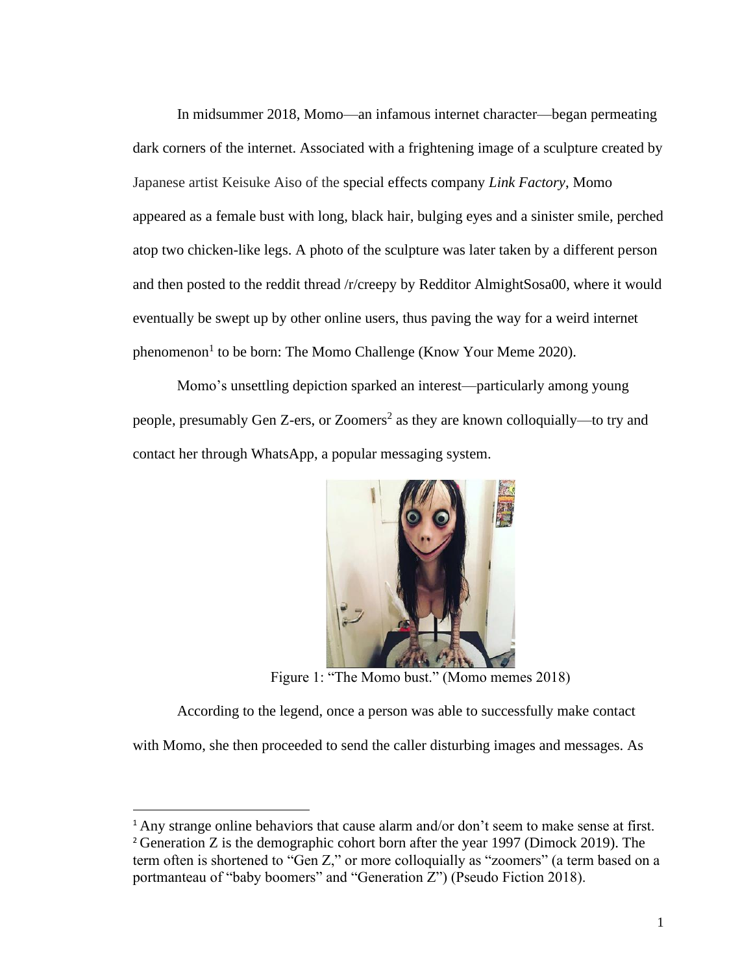In midsummer 2018, Momo—an infamous internet character—began permeating dark corners of the internet. Associated with a frightening image of a sculpture created by Japanese artist Keisuke Aiso of the special effects company *Link Factory*, Momo appeared as a female bust with long, black hair, bulging eyes and a sinister smile, perched atop two chicken-like legs. A photo of the sculpture was later taken by a different person and then posted to the reddit thread /r/creepy by Redditor AlmightSosa00, where it would eventually be swept up by other online users, thus paving the way for a weird internet phenomenon<sup>1</sup> to be born: The Momo Challenge (Know Your Meme 2020).

Momo's unsettling depiction sparked an interest—particularly among young people, presumably Gen Z-ers, or Zoomers<sup>2</sup> as they are known colloquially—to try and contact her through WhatsApp, a popular messaging system.



Figure 1: "The Momo bust." (Momo memes 2018)

According to the legend, once a person was able to successfully make contact with Momo, she then proceeded to send the caller disturbing images and messages. As

<sup>&</sup>lt;sup>1</sup> Any strange online behaviors that cause alarm and/or don't seem to make sense at first.

<sup>2</sup> Generation Z is the demographic cohort born after the year 1997 (Dimock 2019). The term often is shortened to "Gen Z," or more colloquially as "zoomers" (a term based on a portmanteau of "baby boomers" and "Generation Z") (Pseudo Fiction 2018).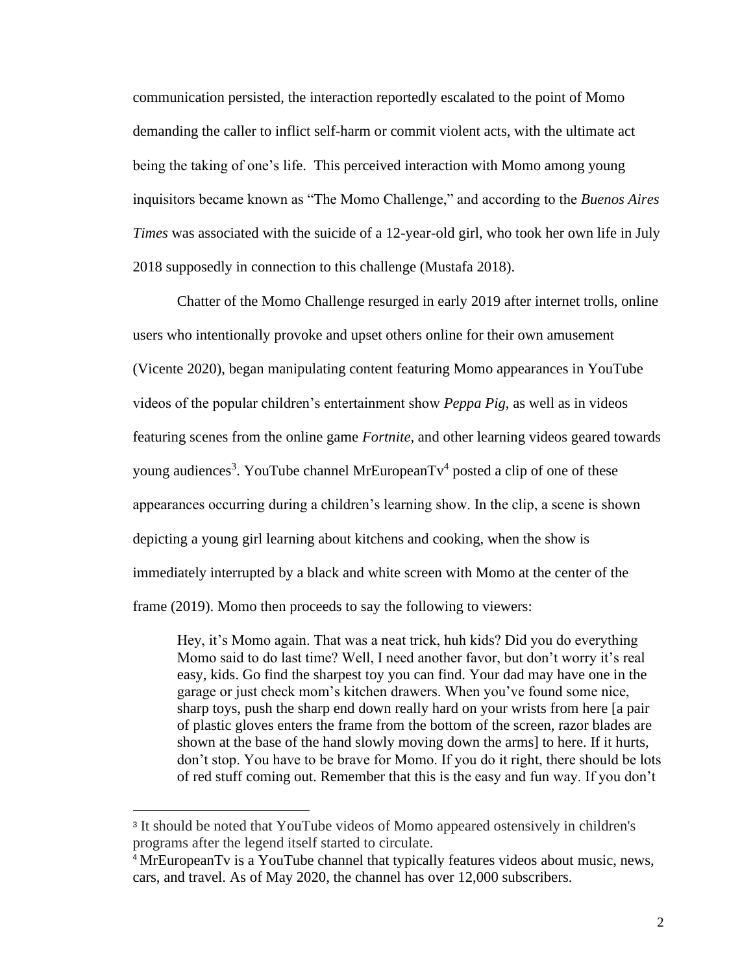communication persisted, the interaction reportedly escalated to the point of Momo demanding the caller to inflict self-harm or commit violent acts, with the ultimate act being the taking of one's life. This perceived interaction with Momo among young inquisitors became known as "The Momo Challenge," and according to the *Buenos Aires Times* was associated with the suicide of a 12-year-old girl, who took her own life in July 2018 supposedly in connection to this challenge (Mustafa 2018).

Chatter of the Momo Challenge resurged in early 2019 after internet trolls, online users who intentionally provoke and upset others online for their own amusement (Vicente 2020), began manipulating content featuring Momo appearances in YouTube videos of the popular children's entertainment show *Peppa Pig*, as well as in videos featuring scenes from the online game *Fortnite,* and other learning videos geared towards young audiences<sup>3</sup>. YouTube channel MrEuropeanTv<sup>4</sup> posted a clip of one of these appearances occurring during a children's learning show. In the clip, a scene is shown depicting a young girl learning about kitchens and cooking, when the show is immediately interrupted by a black and white screen with Momo at the center of the frame (2019). Momo then proceeds to say the following to viewers:

Hey, it's Momo again. That was a neat trick, huh kids? Did you do everything Momo said to do last time? Well, I need another favor, but don't worry it's real easy, kids. Go find the sharpest toy you can find. Your dad may have one in the garage or just check mom's kitchen drawers. When you've found some nice, sharp toys, push the sharp end down really hard on your wrists from here [a pair of plastic gloves enters the frame from the bottom of the screen, razor blades are shown at the base of the hand slowly moving down the arms] to here. If it hurts, don't stop. You have to be brave for Momo. If you do it right, there should be lots of red stuff coming out. Remember that this is the easy and fun way. If you don't

<sup>&</sup>lt;sup>3</sup> It should be noted that YouTube videos of Momo appeared ostensively in children's programs after the legend itself started to circulate.

<sup>4</sup> MrEuropeanTv is a YouTube channel that typically features videos about music, news, cars, and travel. As of May 2020, the channel has over 12,000 subscribers.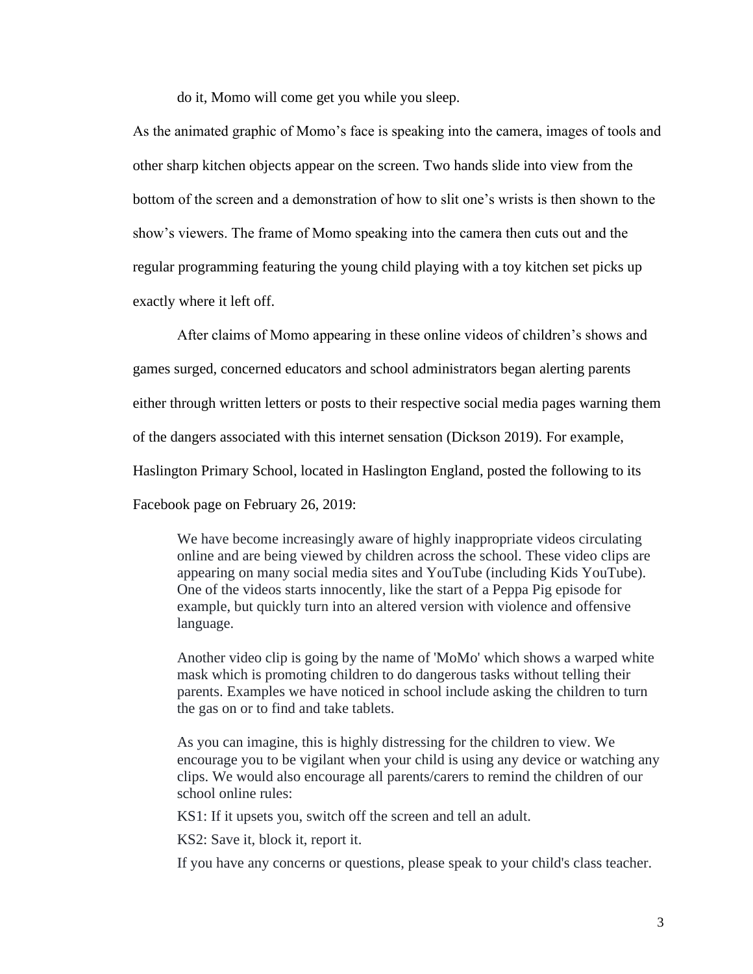do it, Momo will come get you while you sleep.

As the animated graphic of Momo's face is speaking into the camera, images of tools and other sharp kitchen objects appear on the screen. Two hands slide into view from the bottom of the screen and a demonstration of how to slit one's wrists is then shown to the show's viewers. The frame of Momo speaking into the camera then cuts out and the regular programming featuring the young child playing with a toy kitchen set picks up exactly where it left off.

After claims of Momo appearing in these online videos of children's shows and games surged, concerned educators and school administrators began alerting parents either through written letters or posts to their respective social media pages warning them of the dangers associated with this internet sensation (Dickson 2019). For example, Haslington Primary School, located in Haslington England, posted the following to its Facebook page on February 26, 2019:

We have become increasingly aware of highly inappropriate videos circulating online and are being viewed by children across the school. These video clips are appearing on many social media sites and YouTube (including Kids YouTube). One of the videos starts innocently, like the start of a Peppa Pig episode for example, but quickly turn into an altered version with violence and offensive language.

Another video clip is going by the name of 'MoMo' which shows a warped white mask which is promoting children to do dangerous tasks without telling their parents. Examples we have noticed in school include asking the children to turn the gas on or to find and take tablets.

As you can imagine, this is highly distressing for the children to view. We encourage you to be vigilant when your child is using any device or watching any clips. We would also encourage all parents/carers to remind the children of our school online rules:

KS1: If it upsets you, switch off the screen and tell an adult.

KS2: Save it, block it, report it.

If you have any concerns or questions, please speak to your child's class teacher.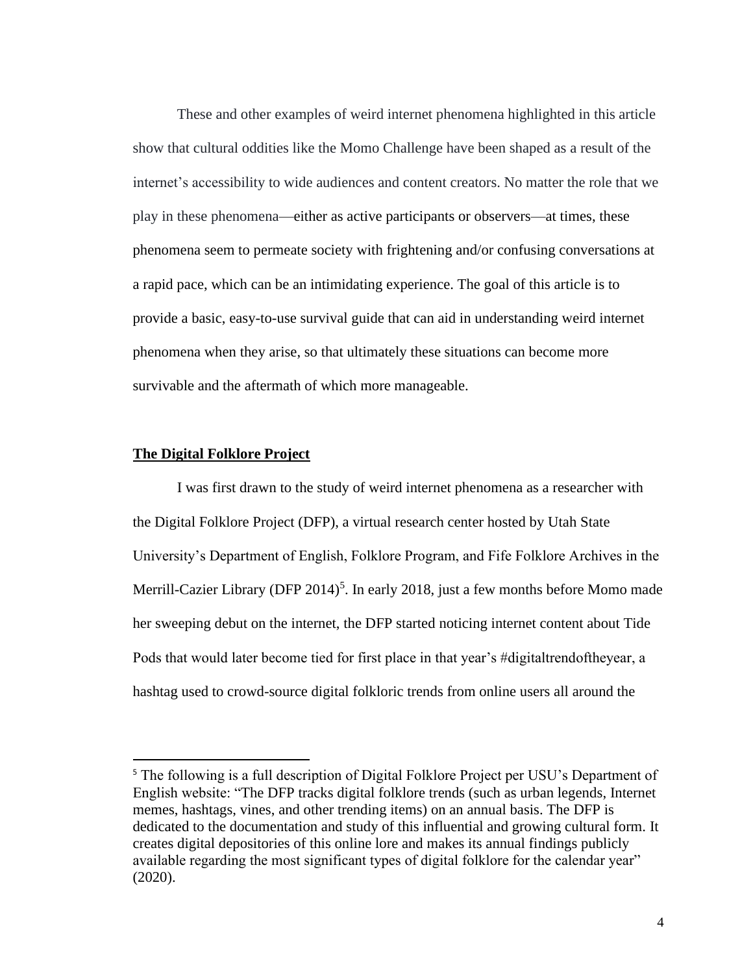These and other examples of weird internet phenomena highlighted in this article show that cultural oddities like the Momo Challenge have been shaped as a result of the internet's accessibility to wide audiences and content creators. No matter the role that we play in these phenomena—either as active participants or observers—at times, these phenomena seem to permeate society with frightening and/or confusing conversations at a rapid pace, which can be an intimidating experience. The goal of this article is to provide a basic, easy-to-use survival guide that can aid in understanding weird internet phenomena when they arise, so that ultimately these situations can become more survivable and the aftermath of which more manageable.

#### **The Digital Folklore Project**

I was first drawn to the study of weird internet phenomena as a researcher with the Digital Folklore Project (DFP), a virtual research center hosted by Utah State University's Department of English, Folklore Program, and Fife Folklore Archives in the Merrill-Cazier Library (DFP 2014)<sup>5</sup>. In early 2018, just a few months before Momo made her sweeping debut on the internet, the DFP started noticing internet content about Tide Pods that would later become tied for first place in that year's #digitaltrendoftheyear, a hashtag used to crowd-source digital folkloric trends from online users all around the

<sup>&</sup>lt;sup>5</sup> The following is a full description of Digital Folklore Project per USU's Department of English website: "The DFP tracks digital folklore trends (such as urban legends, Internet memes, hashtags, vines, and other trending items) on an annual basis. The DFP is dedicated to the documentation and study of this influential and growing cultural form. It creates digital depositories of this online lore and makes its annual findings publicly available regarding the most significant types of digital folklore for the calendar year" (2020).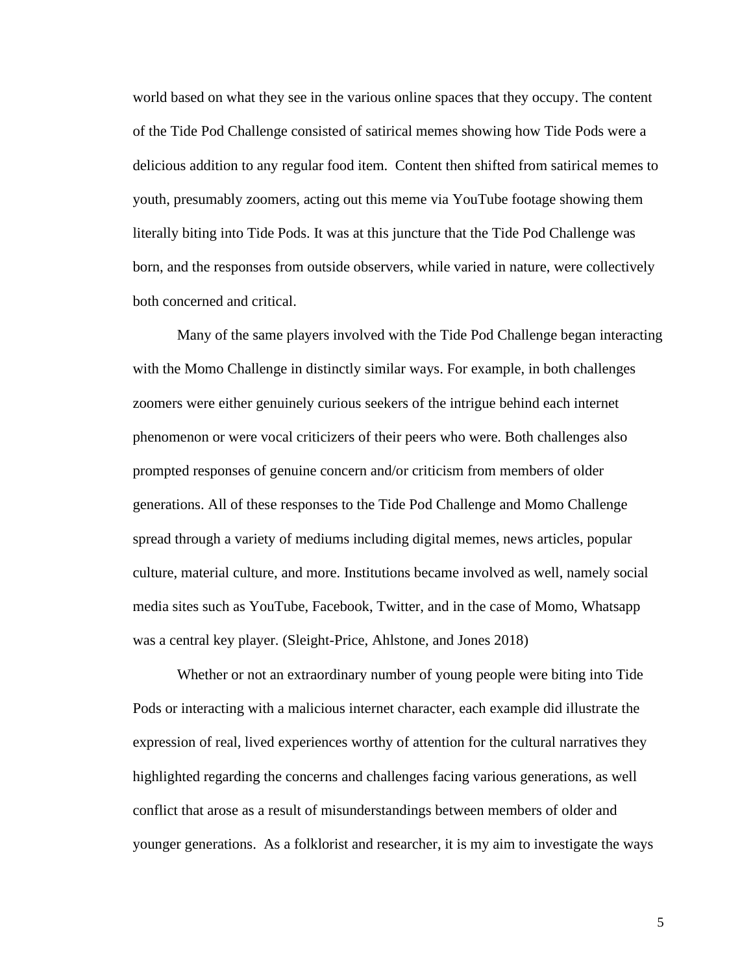world based on what they see in the various online spaces that they occupy. The content of the Tide Pod Challenge consisted of satirical memes showing how Tide Pods were a delicious addition to any regular food item. Content then shifted from satirical memes to youth, presumably zoomers, acting out this meme via YouTube footage showing them literally biting into Tide Pods. It was at this juncture that the Tide Pod Challenge was born, and the responses from outside observers, while varied in nature, were collectively both concerned and critical.

Many of the same players involved with the Tide Pod Challenge began interacting with the Momo Challenge in distinctly similar ways. For example, in both challenges zoomers were either genuinely curious seekers of the intrigue behind each internet phenomenon or were vocal criticizers of their peers who were. Both challenges also prompted responses of genuine concern and/or criticism from members of older generations. All of these responses to the Tide Pod Challenge and Momo Challenge spread through a variety of mediums including digital memes, news articles, popular culture, material culture, and more. Institutions became involved as well, namely social media sites such as YouTube, Facebook, Twitter, and in the case of Momo, Whatsapp was a central key player. (Sleight-Price, Ahlstone, and Jones 2018)

Whether or not an extraordinary number of young people were biting into Tide Pods or interacting with a malicious internet character, each example did illustrate the expression of real, lived experiences worthy of attention for the cultural narratives they highlighted regarding the concerns and challenges facing various generations, as well conflict that arose as a result of misunderstandings between members of older and younger generations. As a folklorist and researcher, it is my aim to investigate the ways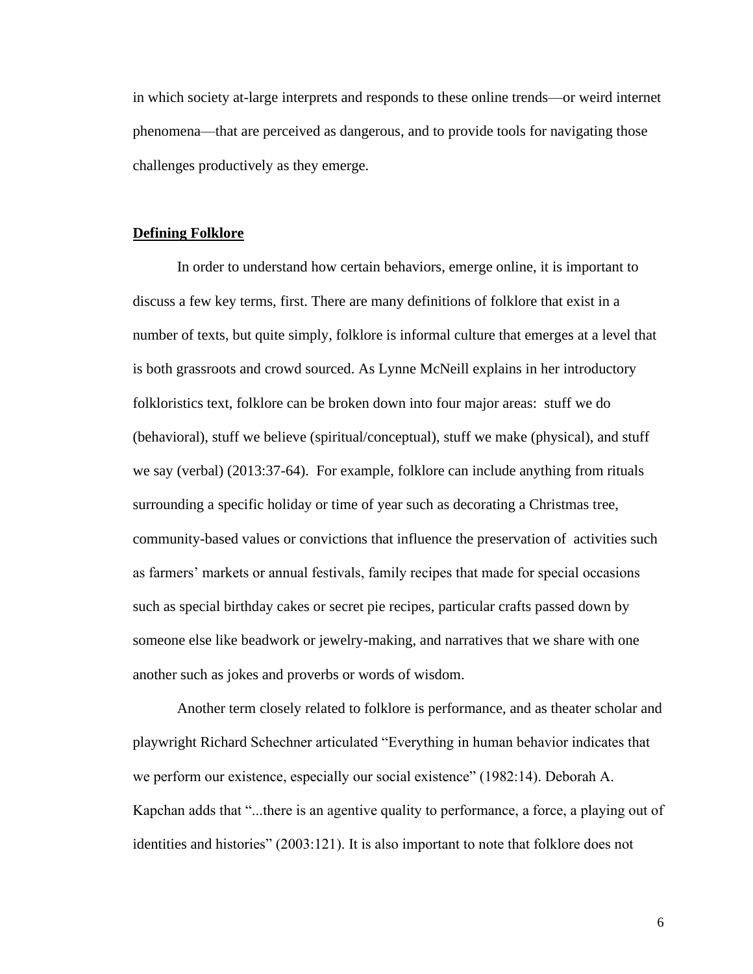in which society at-large interprets and responds to these online trends—or weird internet phenomena—that are perceived as dangerous, and to provide tools for navigating those challenges productively as they emerge.

#### **Defining Folklore**

In order to understand how certain behaviors, emerge online, it is important to discuss a few key terms, first. There are many definitions of folklore that exist in a number of texts, but quite simply, folklore is informal culture that emerges at a level that is both grassroots and crowd sourced. As Lynne McNeill explains in her introductory folkloristics text, folklore can be broken down into four major areas: stuff we do (behavioral), stuff we believe (spiritual/conceptual), stuff we make (physical), and stuff we say (verbal) (2013:37-64). For example, folklore can include anything from rituals surrounding a specific holiday or time of year such as decorating a Christmas tree, community-based values or convictions that influence the preservation of activities such as farmers' markets or annual festivals, family recipes that made for special occasions such as special birthday cakes or secret pie recipes, particular crafts passed down by someone else like beadwork or jewelry-making, and narratives that we share with one another such as jokes and proverbs or words of wisdom.

Another term closely related to folklore is performance, and as theater scholar and playwright Richard Schechner articulated "Everything in human behavior indicates that we perform our existence, especially our social existence" (1982:14). Deborah A. Kapchan adds that "...there is an agentive quality to performance, a force, a playing out of identities and histories" (2003:121). It is also important to note that folklore does not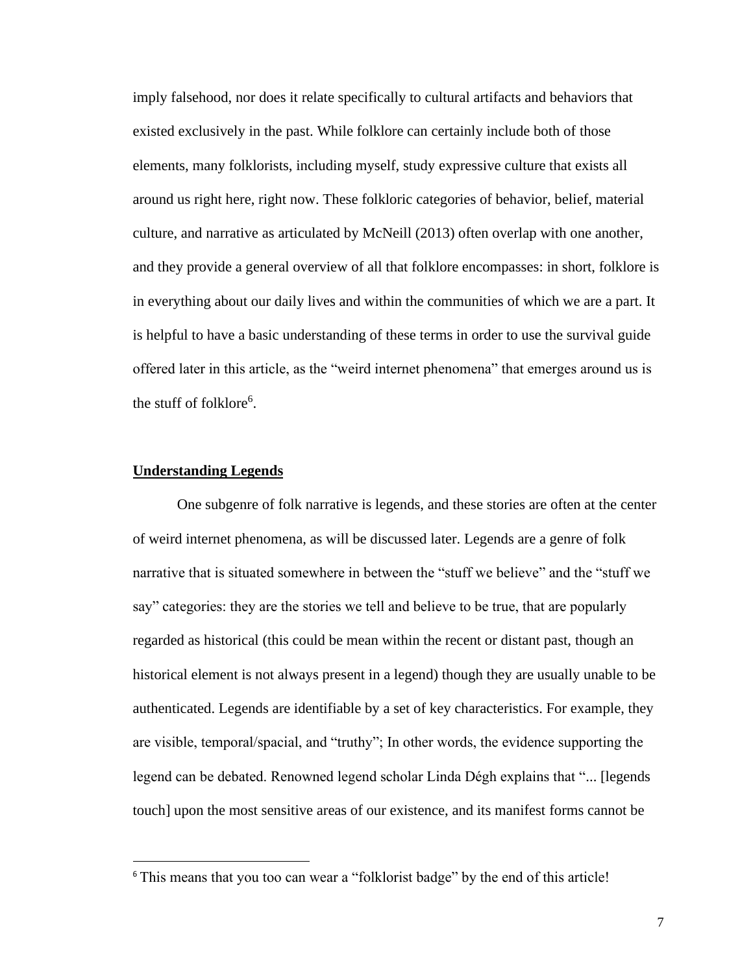imply falsehood, nor does it relate specifically to cultural artifacts and behaviors that existed exclusively in the past. While folklore can certainly include both of those elements, many folklorists, including myself, study expressive culture that exists all around us right here, right now. These folkloric categories of behavior, belief, material culture, and narrative as articulated by McNeill (2013) often overlap with one another, and they provide a general overview of all that folklore encompasses: in short, folklore is in everything about our daily lives and within the communities of which we are a part. It is helpful to have a basic understanding of these terms in order to use the survival guide offered later in this article, as the "weird internet phenomena" that emerges around us is the stuff of folklore<sup>6</sup>.

#### **Understanding Legends**

One subgenre of folk narrative is legends, and these stories are often at the center of weird internet phenomena, as will be discussed later. Legends are a genre of folk narrative that is situated somewhere in between the "stuff we believe" and the "stuff we say" categories: they are the stories we tell and believe to be true, that are popularly regarded as historical (this could be mean within the recent or distant past, though an historical element is not always present in a legend) though they are usually unable to be authenticated. Legends are identifiable by a set of key characteristics. For example, they are visible, temporal/spacial, and "truthy"; In other words, the evidence supporting the legend can be debated. Renowned legend scholar Linda Dégh explains that "... [legends touch] upon the most sensitive areas of our existence, and its manifest forms cannot be

<sup>&</sup>lt;sup>6</sup> This means that you too can wear a "folklorist badge" by the end of this article!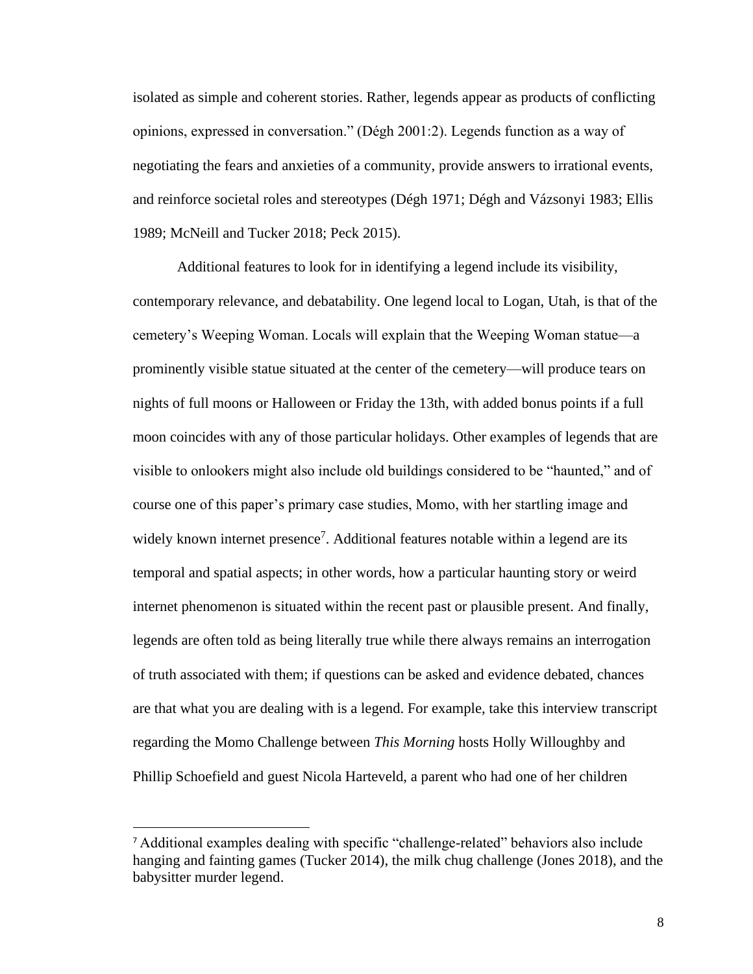isolated as simple and coherent stories. Rather, legends appear as products of conflicting opinions, expressed in conversation." (Dégh 2001:2). Legends function as a way of negotiating the fears and anxieties of a community, provide answers to irrational events, and reinforce societal roles and stereotypes (Dégh 1971; Dégh and Vázsonyi 1983; Ellis 1989; McNeill and Tucker 2018; Peck 2015).

Additional features to look for in identifying a legend include its visibility, contemporary relevance, and debatability. One legend local to Logan, Utah, is that of the cemetery's Weeping Woman. Locals will explain that the Weeping Woman statue—a prominently visible statue situated at the center of the cemetery—will produce tears on nights of full moons or Halloween or Friday the 13th, with added bonus points if a full moon coincides with any of those particular holidays. Other examples of legends that are visible to onlookers might also include old buildings considered to be "haunted," and of course one of this paper's primary case studies, Momo, with her startling image and widely known internet presence<sup>7</sup>. Additional features notable within a legend are its temporal and spatial aspects; in other words, how a particular haunting story or weird internet phenomenon is situated within the recent past or plausible present. And finally, legends are often told as being literally true while there always remains an interrogation of truth associated with them; if questions can be asked and evidence debated, chances are that what you are dealing with is a legend. For example, take this interview transcript regarding the Momo Challenge between *This Morning* hosts Holly Willoughby and Phillip Schoefield and guest Nicola Harteveld, a parent who had one of her children

<sup>7</sup> Additional examples dealing with specific "challenge-related" behaviors also include hanging and fainting games (Tucker 2014), the milk chug challenge (Jones 2018), and the babysitter murder legend.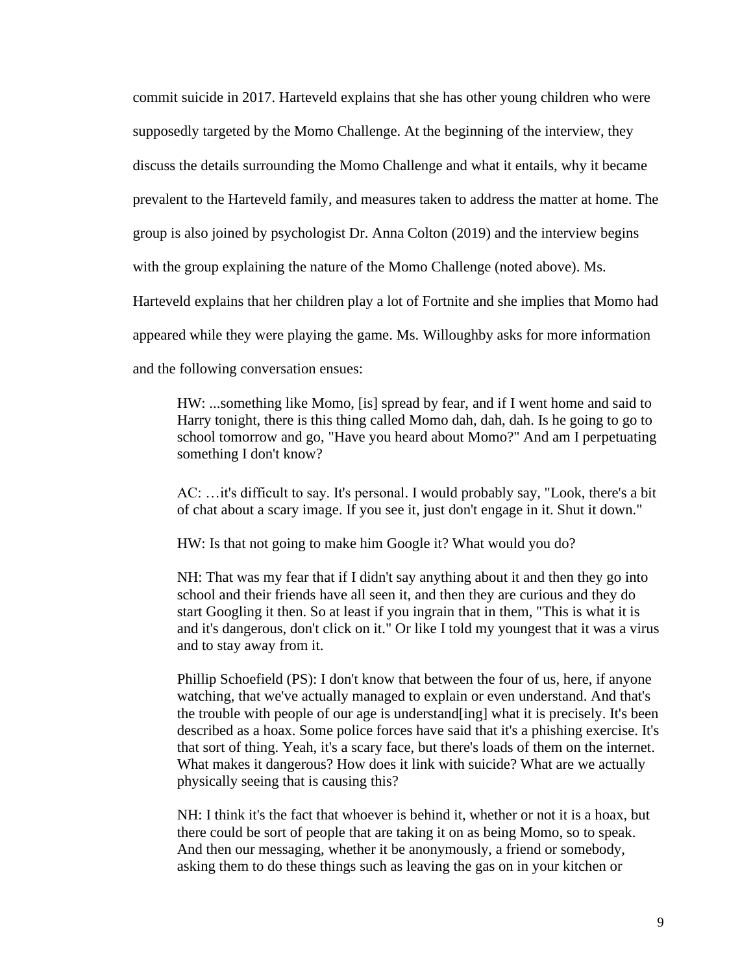commit suicide in 2017. Harteveld explains that she has other young children who were supposedly targeted by the Momo Challenge. At the beginning of the interview, they discuss the details surrounding the Momo Challenge and what it entails, why it became prevalent to the Harteveld family, and measures taken to address the matter at home. The group is also joined by psychologist Dr. Anna Colton (2019) and the interview begins with the group explaining the nature of the Momo Challenge (noted above). Ms. Harteveld explains that her children play a lot of Fortnite and she implies that Momo had appeared while they were playing the game. Ms. Willoughby asks for more information and the following conversation ensues:

HW: ...something like Momo, [is] spread by fear, and if I went home and said to Harry tonight, there is this thing called Momo dah, dah, dah. Is he going to go to school tomorrow and go, "Have you heard about Momo?" And am I perpetuating something I don't know?

AC: …it's difficult to say. It's personal. I would probably say, "Look, there's a bit of chat about a scary image. If you see it, just don't engage in it. Shut it down."

HW: Is that not going to make him Google it? What would you do?

NH: That was my fear that if I didn't say anything about it and then they go into school and their friends have all seen it, and then they are curious and they do start Googling it then. So at least if you ingrain that in them, "This is what it is and it's dangerous, don't click on it." Or like I told my youngest that it was a virus and to stay away from it.

Phillip Schoefield (PS): I don't know that between the four of us, here, if anyone watching, that we've actually managed to explain or even understand. And that's the trouble with people of our age is understand[ing] what it is precisely. It's been described as a hoax. Some police forces have said that it's a phishing exercise. It's that sort of thing. Yeah, it's a scary face, but there's loads of them on the internet. What makes it dangerous? How does it link with suicide? What are we actually physically seeing that is causing this?

NH: I think it's the fact that whoever is behind it, whether or not it is a hoax, but there could be sort of people that are taking it on as being Momo, so to speak. And then our messaging, whether it be anonymously, a friend or somebody, asking them to do these things such as leaving the gas on in your kitchen or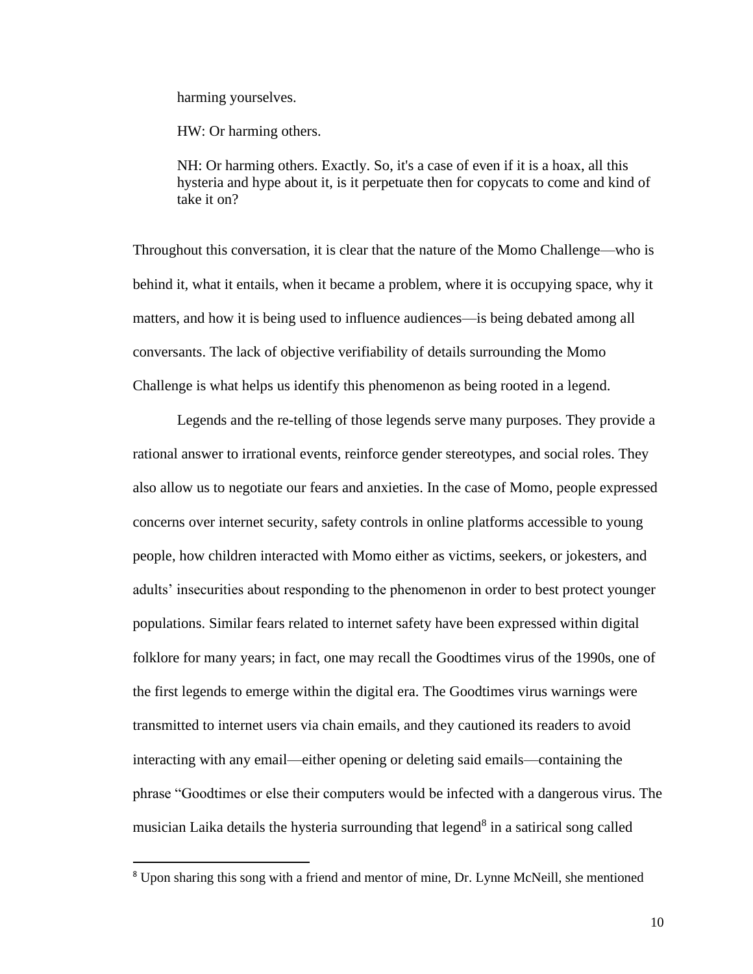harming yourselves.

HW: Or harming others.

NH: Or harming others. Exactly. So, it's a case of even if it is a hoax, all this hysteria and hype about it, is it perpetuate then for copycats to come and kind of take it on?

Throughout this conversation, it is clear that the nature of the Momo Challenge—who is behind it, what it entails, when it became a problem, where it is occupying space, why it matters, and how it is being used to influence audiences—is being debated among all conversants. The lack of objective verifiability of details surrounding the Momo Challenge is what helps us identify this phenomenon as being rooted in a legend.

Legends and the re-telling of those legends serve many purposes. They provide a rational answer to irrational events, reinforce gender stereotypes, and social roles. They also allow us to negotiate our fears and anxieties. In the case of Momo, people expressed concerns over internet security, safety controls in online platforms accessible to young people, how children interacted with Momo either as victims, seekers, or jokesters, and adults' insecurities about responding to the phenomenon in order to best protect younger populations. Similar fears related to internet safety have been expressed within digital folklore for many years; in fact, one may recall the Goodtimes virus of the 1990s, one of the first legends to emerge within the digital era. The Goodtimes virus warnings were transmitted to internet users via chain emails, and they cautioned its readers to avoid interacting with any email—either opening or deleting said emails—containing the phrase "Goodtimes or else their computers would be infected with a dangerous virus. The musician Laika details the hysteria surrounding that legend<sup>8</sup> in a satirical song called

<sup>8</sup> Upon sharing this song with a friend and mentor of mine, Dr. Lynne McNeill, she mentioned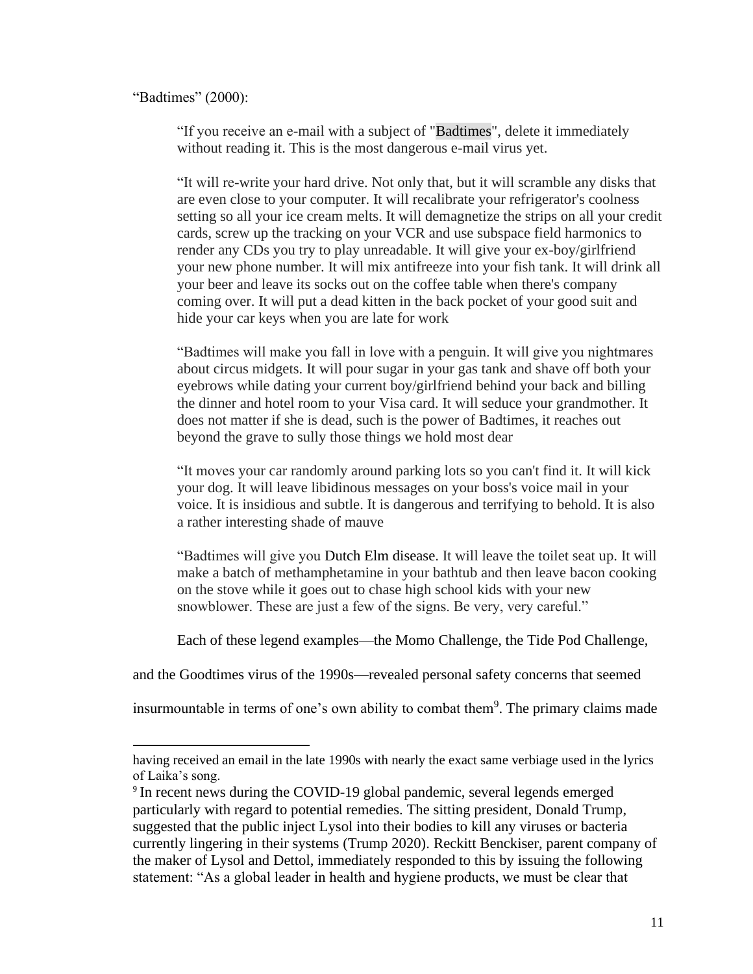#### "Badtimes" (2000):

"If you receive an e-mail with a subject of ["Badtimes"](https://genius.com/Laika-badtimes-lyrics#note-18892926), delete it immediately without reading it. This is the most dangerous e-mail virus yet.

"It will re-write your hard drive. Not only that, but it will scramble any disks that are even close to your computer. It will recalibrate your refrigerator's coolness setting so all your ice cream melts. It will demagnetize the strips on all your credit cards, screw up the tracking on your VCR and use subspace field harmonics to render any CDs you try to play unreadable. It will give your ex-boy/girlfriend your new phone number. It will mix antifreeze into your fish tank. It will drink all your beer and leave its socks out on the coffee table when there's company coming over. It will put a dead kitten in the back pocket of your good suit and hide your car keys when you are late for work

"Badtimes will make you fall in love with a penguin. It will give you nightmares about circus midgets. It will pour sugar in your gas tank and shave off both your eyebrows while dating your current boy/girlfriend behind your back and billing the dinner and hotel room to your Visa card. It will seduce your grandmother. It does not matter if she is dead, such is the power of Badtimes, it reaches out beyond the grave to sully those things we hold most dear

"It moves your car randomly around parking lots so you can't find it. It will kick your dog. It will leave libidinous messages on your boss's voice mail in your voice. It is insidious and subtle. It is dangerous and terrifying to behold. It is also a rather interesting shade of mauve

"Badtimes will give you [Dutch Elm disease.](https://genius.com/Laika-badtimes-lyrics#note-19129765) It will leave the toilet seat up. It will make a batch of methamphetamine in your bathtub and then leave bacon cooking on the stove while it goes out to chase high school kids with your new snowblower. These are just a few of the signs. Be very, very careful."

Each of these legend examples—the Momo Challenge, the Tide Pod Challenge,

and the Goodtimes virus of the 1990s—revealed personal safety concerns that seemed

insurmountable in terms of one's own ability to combat them<sup>9</sup>. The primary claims made

having received an email in the late 1990s with nearly the exact same verbiage used in the lyrics of Laika's song.

<sup>&</sup>lt;sup>9</sup> In recent news during the COVID-19 global pandemic, several legends emerged particularly with regard to potential remedies. The sitting president, Donald Trump, suggested that the public inject Lysol into their bodies to kill any viruses or bacteria currently lingering in their systems (Trump 2020). Reckitt Benckiser, parent company of the maker of Lysol and Dettol, immediately responded to this by issuing the following statement: "As a global leader in health and hygiene products, we must be clear that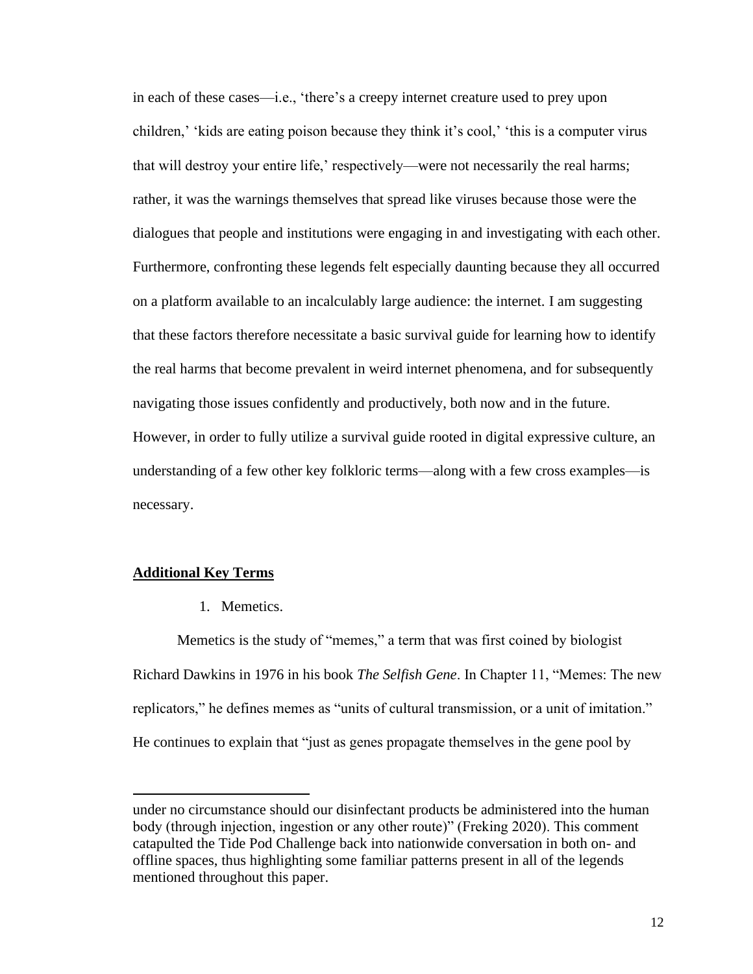in each of these cases—i.e., 'there's a creepy internet creature used to prey upon children,' 'kids are eating poison because they think it's cool,' 'this is a computer virus that will destroy your entire life,' respectively—were not necessarily the real harms; rather, it was the warnings themselves that spread like viruses because those were the dialogues that people and institutions were engaging in and investigating with each other. Furthermore, confronting these legends felt especially daunting because they all occurred on a platform available to an incalculably large audience: the internet. I am suggesting that these factors therefore necessitate a basic survival guide for learning how to identify the real harms that become prevalent in weird internet phenomena, and for subsequently navigating those issues confidently and productively, both now and in the future. However, in order to fully utilize a survival guide rooted in digital expressive culture, an understanding of a few other key folkloric terms—along with a few cross examples—is necessary.

#### **Additional Key Terms**

1. Memetics.

Memetics is the study of "memes," a term that was first coined by biologist Richard Dawkins in 1976 in his book *The Selfish Gene*. In Chapter 11, "Memes: The new replicators," he defines memes as "units of cultural transmission, or a unit of imitation." He continues to explain that "just as genes propagate themselves in the gene pool by

under no circumstance should our disinfectant products be administered into the human body (through injection, ingestion or any other route)" (Freking 2020). This comment catapulted the Tide Pod Challenge back into nationwide conversation in both on- and offline spaces, thus highlighting some familiar patterns present in all of the legends mentioned throughout this paper.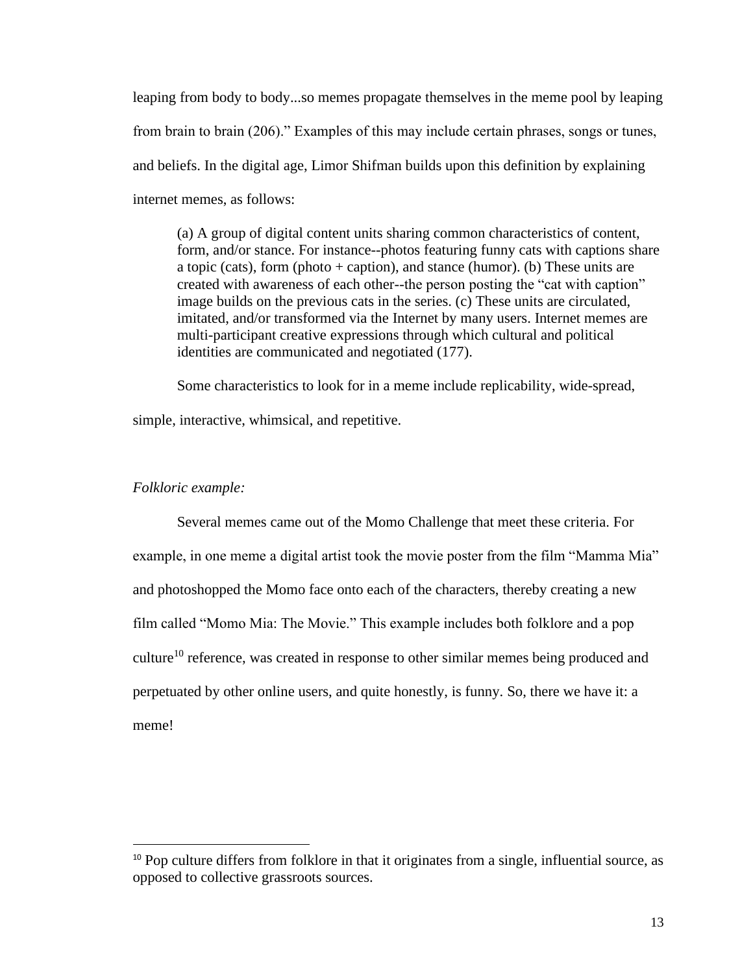leaping from body to body...so memes propagate themselves in the meme pool by leaping from brain to brain (206)." Examples of this may include certain phrases, songs or tunes, and beliefs. In the digital age, Limor Shifman builds upon this definition by explaining internet memes, as follows:

(a) A group of digital content units sharing common characteristics of content, form, and/or stance. For instance--photos featuring funny cats with captions share a topic (cats), form (photo  $+$  caption), and stance (humor). (b) These units are created with awareness of each other--the person posting the "cat with caption" image builds on the previous cats in the series. (c) These units are circulated, imitated, and/or transformed via the Internet by many users. Internet memes are multi-participant creative expressions through which cultural and political identities are communicated and negotiated (177).

Some characteristics to look for in a meme include replicability, wide-spread, simple, interactive, whimsical, and repetitive.

## *Folkloric example:*

Several memes came out of the Momo Challenge that meet these criteria. For example, in one meme a digital artist took the movie poster from the film "Mamma Mia" and photoshopped the Momo face onto each of the characters, thereby creating a new film called "Momo Mia: The Movie." This example includes both folklore and a pop culture<sup>10</sup> reference, was created in response to other similar memes being produced and perpetuated by other online users, and quite honestly, is funny. So, there we have it: a meme!

<sup>&</sup>lt;sup>10</sup> Pop culture differs from folklore in that it originates from a single, influential source, as opposed to collective grassroots sources.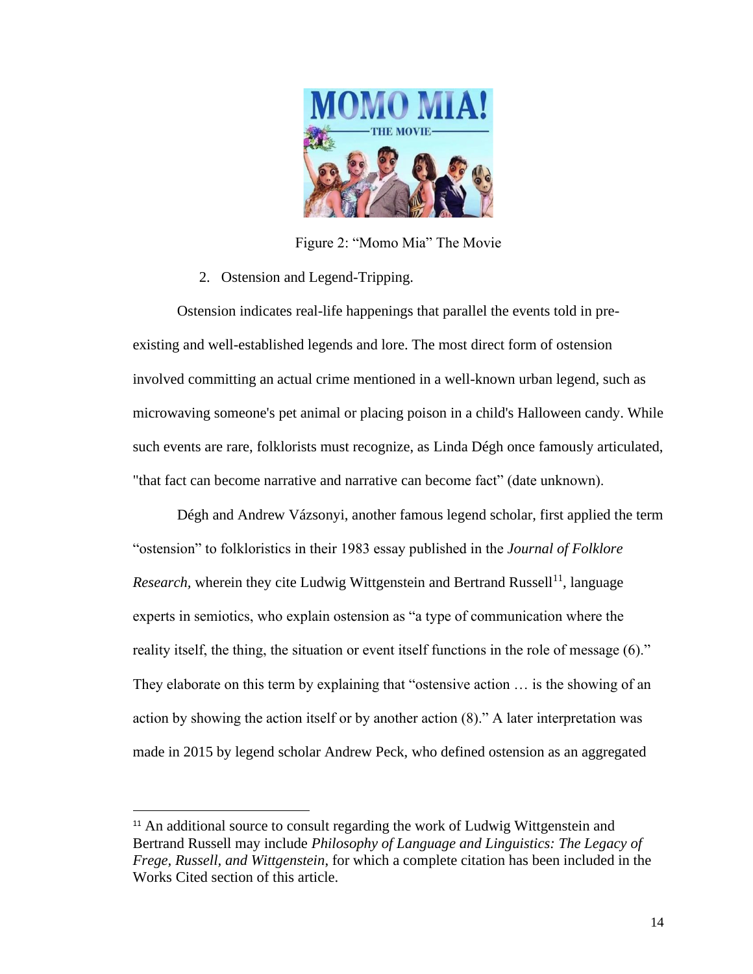

Figure 2: "Momo Mia" The Movie

2. Ostension and Legend-Tripping.

Ostension indicates real-life happenings that parallel the events told in preexisting and well-established [legends](https://en.wikipedia.org/wiki/Legend) and lore. The most direct form of ostension involved committing an actual crime mentioned in a well-known urban legend, such as microwaving someone's pet animal or placing poison in a child's Halloween candy. While such events are rare, folklorists must recognize, as Linda Dégh once famously articulated, "that fact can become narrative and narrative can become fact" (date unknown).

Dégh and Andrew Vázsonyi, another famous legend scholar, first applied the term "ostension" to folkloristics in their 1983 essay published in the *Journal of Folklore Research*, wherein they cite Ludwig Wittgenstein and Bertrand Russell<sup>11</sup>, language experts in semiotics, who explain ostension as "a type of communication where the reality itself, the thing, the situation or event itself functions in the role of message (6)." They elaborate on this term by explaining that "ostensive action … is the showing of an action by showing the action itself or by another action (8)." A later interpretation was made in 2015 by legend scholar Andrew Peck, who defined ostension as an aggregated

<sup>&</sup>lt;sup>11</sup> An additional source to consult regarding the work of Ludwig Wittgenstein and Bertrand Russell may include *Philosophy of Language and Linguistics: The Legacy of Frege, Russell, and Wittgenstein*, for which a complete citation has been included in the Works Cited section of this article.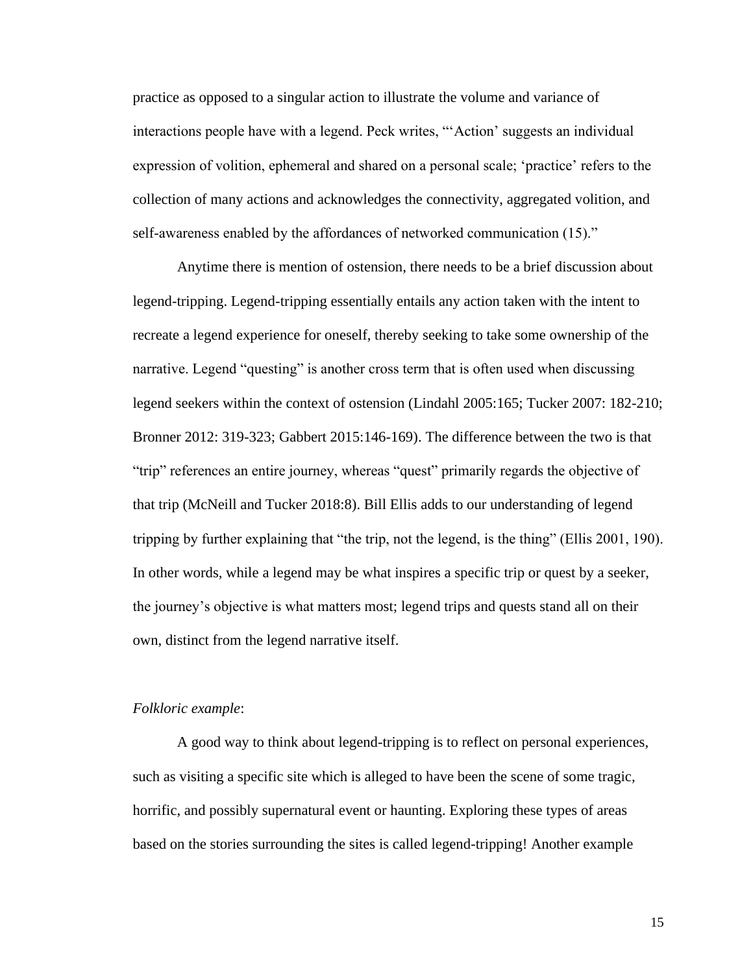practice as opposed to a singular action to illustrate the volume and variance of interactions people have with a legend. Peck writes, "'Action' suggests an individual expression of volition, ephemeral and shared on a personal scale; 'practice' refers to the collection of many actions and acknowledges the connectivity, aggregated volition, and self-awareness enabled by the affordances of networked communication (15)."

Anytime there is mention of ostension, there needs to be a brief discussion about legend-tripping. Legend-tripping essentially entails any action taken with the intent to recreate a legend experience for oneself, thereby seeking to take some ownership of the narrative. Legend "questing" is another cross term that is often used when discussing legend seekers within the context of ostension (Lindahl 2005:165; Tucker 2007: 182-210; Bronner 2012: 319-323; Gabbert 2015:146-169). The difference between the two is that "trip" references an entire journey, whereas "quest" primarily regards the objective of that trip (McNeill and Tucker 2018:8). Bill Ellis adds to our understanding of legend tripping by further explaining that "the trip, not the legend, is the thing" (Ellis 2001, 190). In other words, while a legend may be what inspires a specific trip or quest by a seeker, the journey's objective is what matters most; legend trips and quests stand all on their own, distinct from the legend narrative itself.

## *Folkloric example*:

A good way to think about legend-tripping is to reflect on personal experiences, such as visiting a specific site which is alleged to have been the scene of some tragic, horrific, and possibly supernatural event or haunting. Exploring these types of areas based on the stories surrounding the sites is called legend-tripping! Another example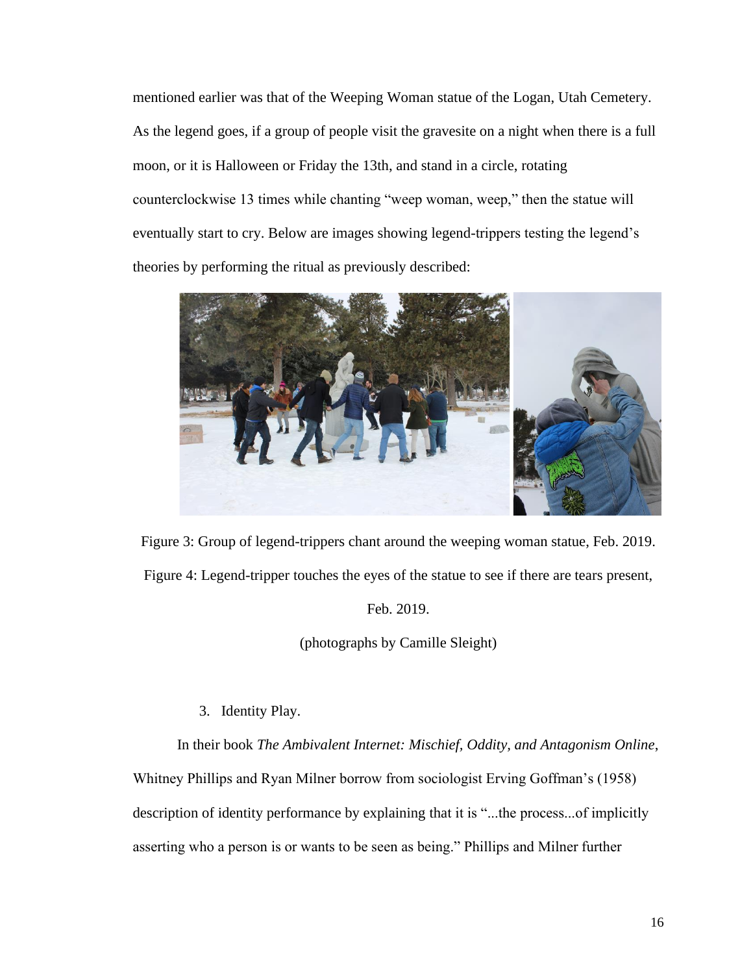mentioned earlier was that of the Weeping Woman statue of the Logan, Utah Cemetery. As the legend goes, if a group of people visit the gravesite on a night when there is a full moon, or it is Halloween or Friday the 13th, and stand in a circle, rotating counterclockwise 13 times while chanting "weep woman, weep," then the statue will eventually start to cry. Below are images showing legend-trippers testing the legend's theories by performing the ritual as previously described:



Figure 3: Group of legend-trippers chant around the weeping woman statue, Feb. 2019. Figure 4: Legend-tripper touches the eyes of the statue to see if there are tears present,

Feb. 2019.

(photographs by Camille Sleight)

3. Identity Play.

In their book *The Ambivalent Internet: Mischief, Oddity, and Antagonism Online*, Whitney Phillips and Ryan Milner borrow from sociologist Erving Goffman's (1958) description of identity performance by explaining that it is "...the process...of implicitly asserting who a person is or wants to be seen as being." Phillips and Milner further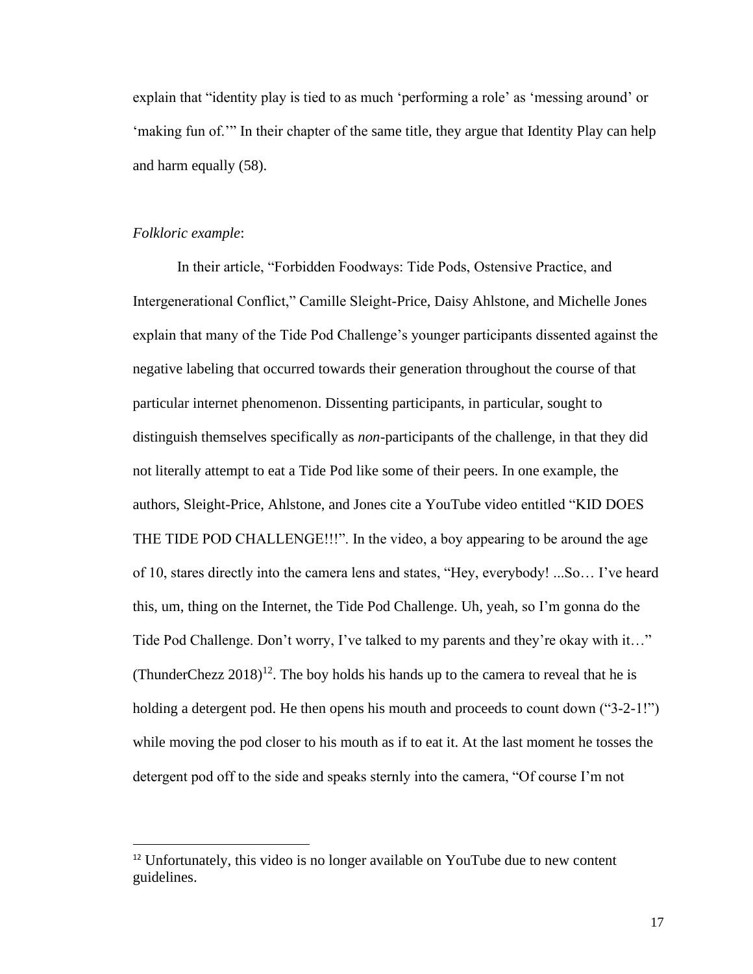explain that "identity play is tied to as much 'performing a role' as 'messing around' or 'making fun of.'" In their chapter of the same title, they argue that Identity Play can help and harm equally (58).

#### *Folkloric example*:

In their article, "Forbidden Foodways: Tide Pods, Ostensive Practice, and Intergenerational Conflict," Camille Sleight-Price, Daisy Ahlstone, and Michelle Jones explain that many of the Tide Pod Challenge's younger participants dissented against the negative labeling that occurred towards their generation throughout the course of that particular internet phenomenon. Dissenting participants, in particular, sought to distinguish themselves specifically as *non*-participants of the challenge, in that they did not literally attempt to eat a Tide Pod like some of their peers. In one example, the authors, Sleight-Price, Ahlstone, and Jones cite a YouTube video entitled "KID DOES THE TIDE POD CHALLENGE!!!". In the video, a boy appearing to be around the age of 10, stares directly into the camera lens and states, "Hey, everybody! ...So… I've heard this, um, thing on the Internet, the Tide Pod Challenge. Uh, yeah, so I'm gonna do the Tide Pod Challenge. Don't worry, I've talked to my parents and they're okay with it…" (ThunderChezz  $2018$ )<sup>12</sup>. The boy holds his hands up to the camera to reveal that he is holding a detergent pod. He then opens his mouth and proceeds to count down ("3-2-1!") while moving the pod closer to his mouth as if to eat it. At the last moment he tosses the detergent pod off to the side and speaks sternly into the camera, "Of course I'm not

<sup>12</sup> Unfortunately, this video is no longer available on YouTube due to new content guidelines.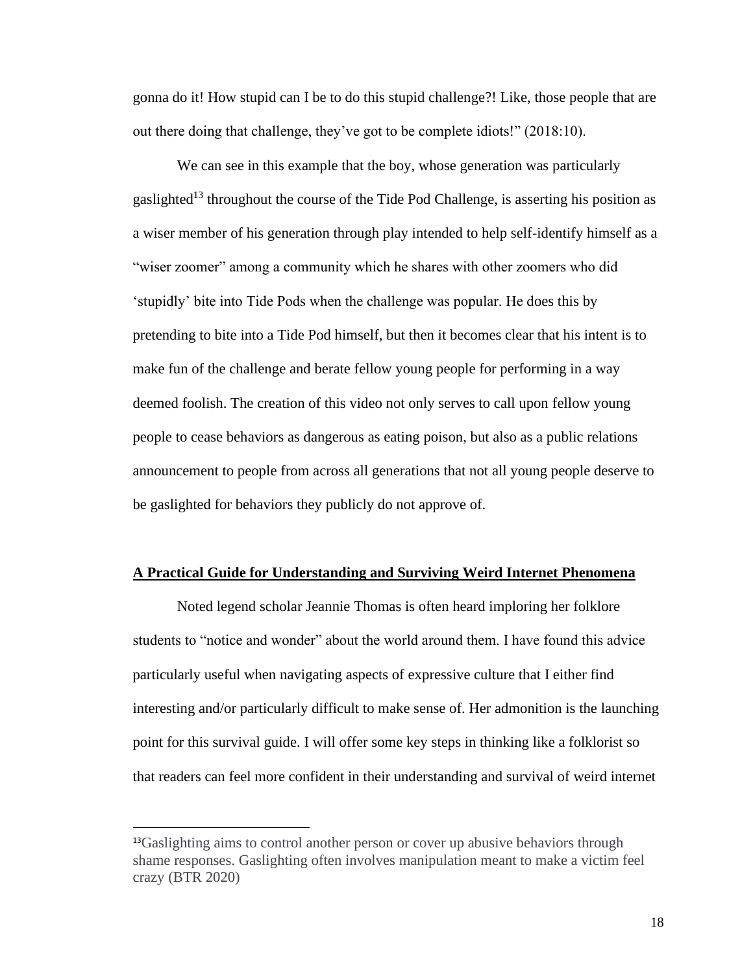gonna do it! How stupid can I be to do this stupid challenge?! Like, those people that are out there doing that challenge, they've got to be complete idiots!" (2018:10).

We can see in this example that the boy, whose generation was particularly gaslighted<sup>13</sup> throughout the course of the Tide Pod Challenge, is asserting his position as a wiser member of his generation through play intended to help self-identify himself as a "wiser zoomer" among a community which he shares with other zoomers who did 'stupidly' bite into Tide Pods when the challenge was popular. He does this by pretending to bite into a Tide Pod himself, but then it becomes clear that his intent is to make fun of the challenge and berate fellow young people for performing in a way deemed foolish. The creation of this video not only serves to call upon fellow young people to cease behaviors as dangerous as eating poison, but also as a public relations announcement to people from across all generations that not all young people deserve to be gaslighted for behaviors they publicly do not approve of.

#### **A Practical Guide for Understanding and Surviving Weird Internet Phenomena**

Noted legend scholar Jeannie Thomas is often heard imploring her folklore students to "notice and wonder" about the world around them. I have found this advice particularly useful when navigating aspects of expressive culture that I either find interesting and/or particularly difficult to make sense of. Her admonition is the launching point for this survival guide. I will offer some key steps in thinking like a folklorist so that readers can feel more confident in their understanding and survival of weird internet

<sup>&</sup>lt;sup>13</sup>Gaslighting aims to control another person or cover up abusive behaviors through shame responses. Gaslighting often involves manipulation meant to make a victim feel crazy (BTR 2020)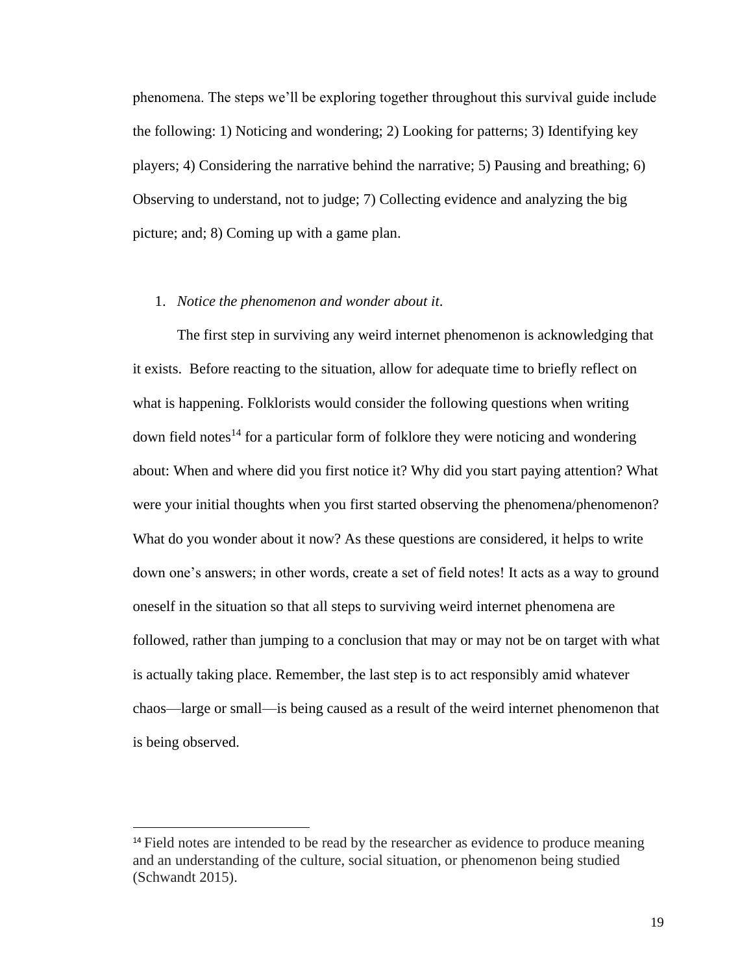phenomena. The steps we'll be exploring together throughout this survival guide include the following: 1) Noticing and wondering; 2) Looking for patterns; 3) Identifying key players; 4) Considering the narrative behind the narrative; 5) Pausing and breathing; 6) Observing to understand, not to judge; 7) Collecting evidence and analyzing the big picture; and; 8) Coming up with a game plan.

#### 1. *Notice the phenomenon and wonder about it*.

The first step in surviving any weird internet phenomenon is acknowledging that it exists. Before reacting to the situation, allow for adequate time to briefly reflect on what is happening. Folklorists would consider the following questions when writing down field notes<sup>14</sup> for a particular form of folklore they were noticing and wondering about: When and where did you first notice it? Why did you start paying attention? What were your initial thoughts when you first started observing the phenomena/phenomenon? What do you wonder about it now? As these questions are considered, it helps to write down one's answers; in other words, create a set of field notes! It acts as a way to ground oneself in the situation so that all steps to surviving weird internet phenomena are followed, rather than jumping to a conclusion that may or may not be on target with what is actually taking place. Remember, the last step is to act responsibly amid whatever chaos—large or small—is being caused as a result of the weird internet phenomenon that is being observed.

<sup>&</sup>lt;sup>14</sup> Field notes are intended to be read by the researcher as evidence to produce meaning and an understanding of the culture, social situation, or phenomenon being studied (Schwandt 2015).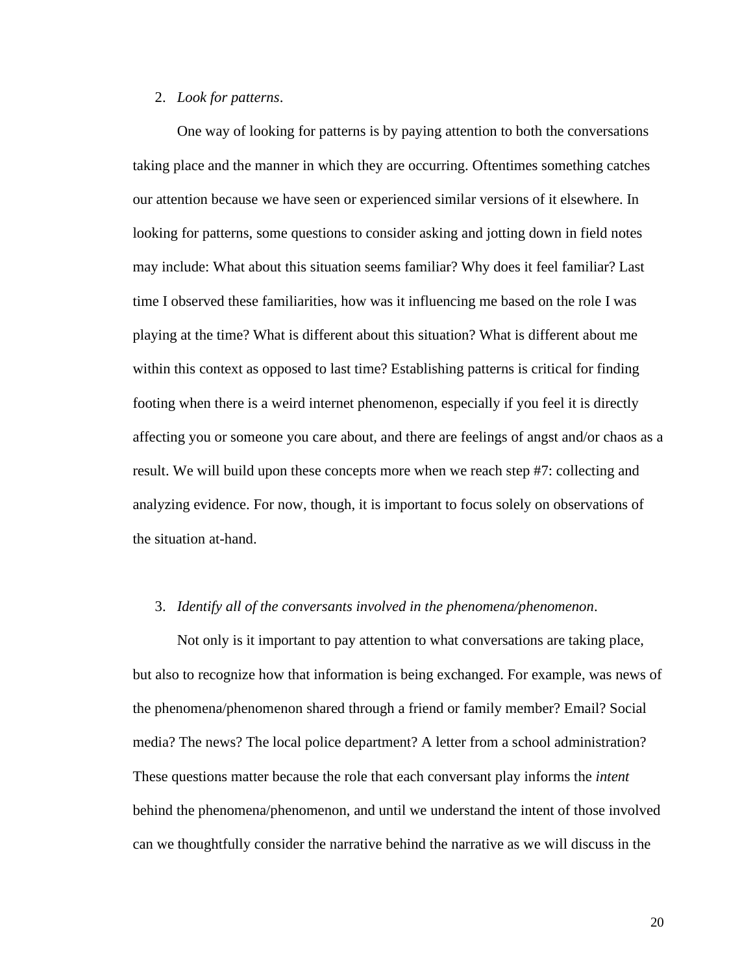#### 2. *Look for patterns*.

One way of looking for patterns is by paying attention to both the conversations taking place and the manner in which they are occurring. Oftentimes something catches our attention because we have seen or experienced similar versions of it elsewhere. In looking for patterns, some questions to consider asking and jotting down in field notes may include: What about this situation seems familiar? Why does it feel familiar? Last time I observed these familiarities, how was it influencing me based on the role I was playing at the time? What is different about this situation? What is different about me within this context as opposed to last time? Establishing patterns is critical for finding footing when there is a weird internet phenomenon, especially if you feel it is directly affecting you or someone you care about, and there are feelings of angst and/or chaos as a result. We will build upon these concepts more when we reach step #7: collecting and analyzing evidence. For now, though, it is important to focus solely on observations of the situation at-hand.

#### 3. *Identify all of the conversants involved in the phenomena/phenomenon*.

Not only is it important to pay attention to what conversations are taking place, but also to recognize how that information is being exchanged. For example, was news of the phenomena/phenomenon shared through a friend or family member? Email? Social media? The news? The local police department? A letter from a school administration? These questions matter because the role that each conversant play informs the *intent*  behind the phenomena/phenomenon, and until we understand the intent of those involved can we thoughtfully consider the narrative behind the narrative as we will discuss in the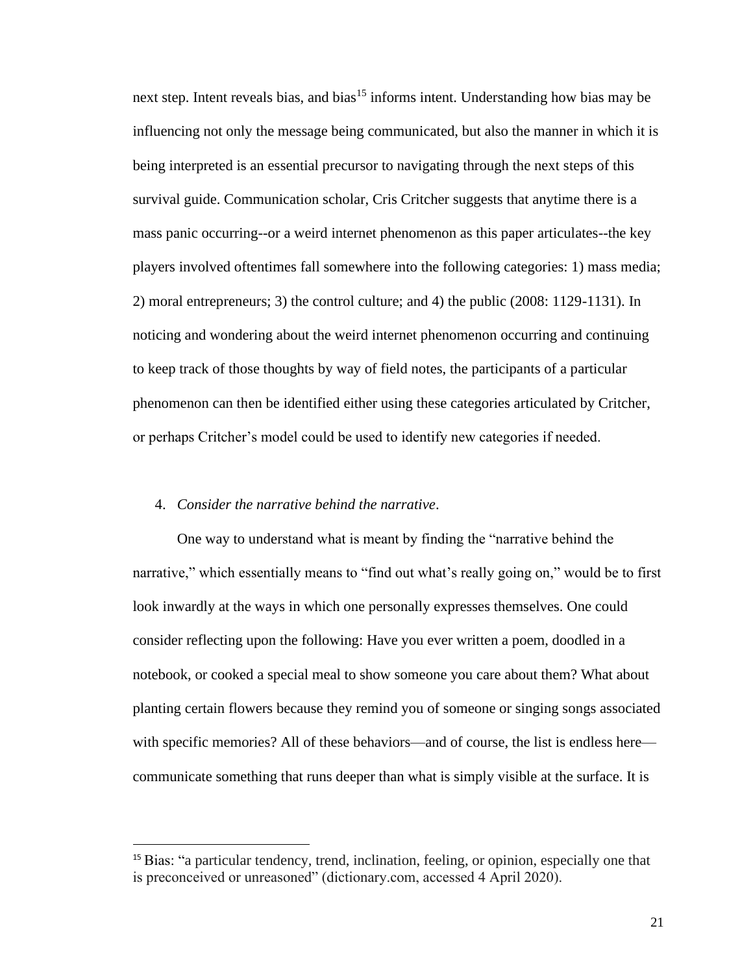next step. Intent reveals bias, and bias<sup>15</sup> informs intent. Understanding how bias may be influencing not only the message being communicated, but also the manner in which it is being interpreted is an essential precursor to navigating through the next steps of this survival guide. Communication scholar, Cris Critcher suggests that anytime there is a mass panic occurring--or a weird internet phenomenon as this paper articulates--the key players involved oftentimes fall somewhere into the following categories: 1) mass media; 2) moral entrepreneurs; 3) the control culture; and 4) the public (2008: 1129-1131). In noticing and wondering about the weird internet phenomenon occurring and continuing to keep track of those thoughts by way of field notes, the participants of a particular phenomenon can then be identified either using these categories articulated by Critcher, or perhaps Critcher's model could be used to identify new categories if needed.

#### 4. *Consider the narrative behind the narrative*.

One way to understand what is meant by finding the "narrative behind the narrative," which essentially means to "find out what's really going on," would be to first look inwardly at the ways in which one personally expresses themselves. One could consider reflecting upon the following: Have you ever written a poem, doodled in a notebook, or cooked a special meal to show someone you care about them? What about planting certain flowers because they remind you of someone or singing songs associated with specific memories? All of these behaviors—and of course, the list is endless here communicate something that runs deeper than what is simply visible at the surface. It is

<sup>15</sup> Bias: "a particular tendency, trend, inclination, feeling, or opinion, especially one that is preconceived or unreasoned" (dictionary.com, accessed 4 April 2020).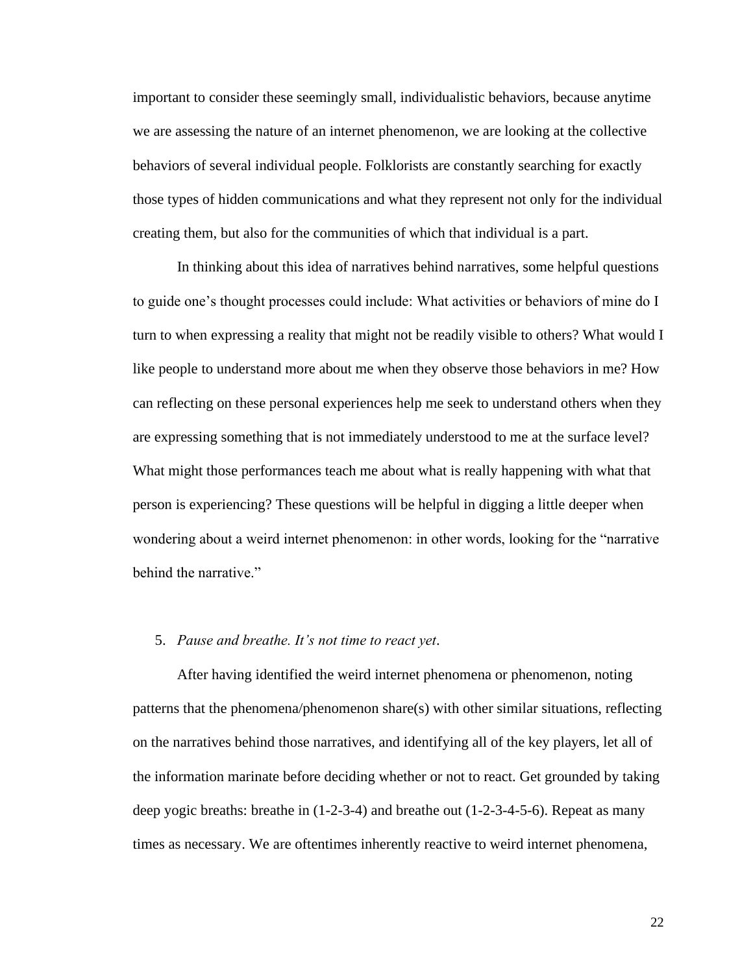important to consider these seemingly small, individualistic behaviors, because anytime we are assessing the nature of an internet phenomenon, we are looking at the collective behaviors of several individual people. Folklorists are constantly searching for exactly those types of hidden communications and what they represent not only for the individual creating them, but also for the communities of which that individual is a part.

In thinking about this idea of narratives behind narratives, some helpful questions to guide one's thought processes could include: What activities or behaviors of mine do I turn to when expressing a reality that might not be readily visible to others? What would I like people to understand more about me when they observe those behaviors in me? How can reflecting on these personal experiences help me seek to understand others when they are expressing something that is not immediately understood to me at the surface level? What might those performances teach me about what is really happening with what that person is experiencing? These questions will be helpful in digging a little deeper when wondering about a weird internet phenomenon: in other words, looking for the "narrative behind the narrative."

#### 5. *Pause and breathe. It's not time to react yet*.

After having identified the weird internet phenomena or phenomenon, noting patterns that the phenomena/phenomenon share(s) with other similar situations, reflecting on the narratives behind those narratives, and identifying all of the key players, let all of the information marinate before deciding whether or not to react. Get grounded by taking deep yogic breaths: breathe in (1-2-3-4) and breathe out (1-2-3-4-5-6). Repeat as many times as necessary. We are oftentimes inherently reactive to weird internet phenomena,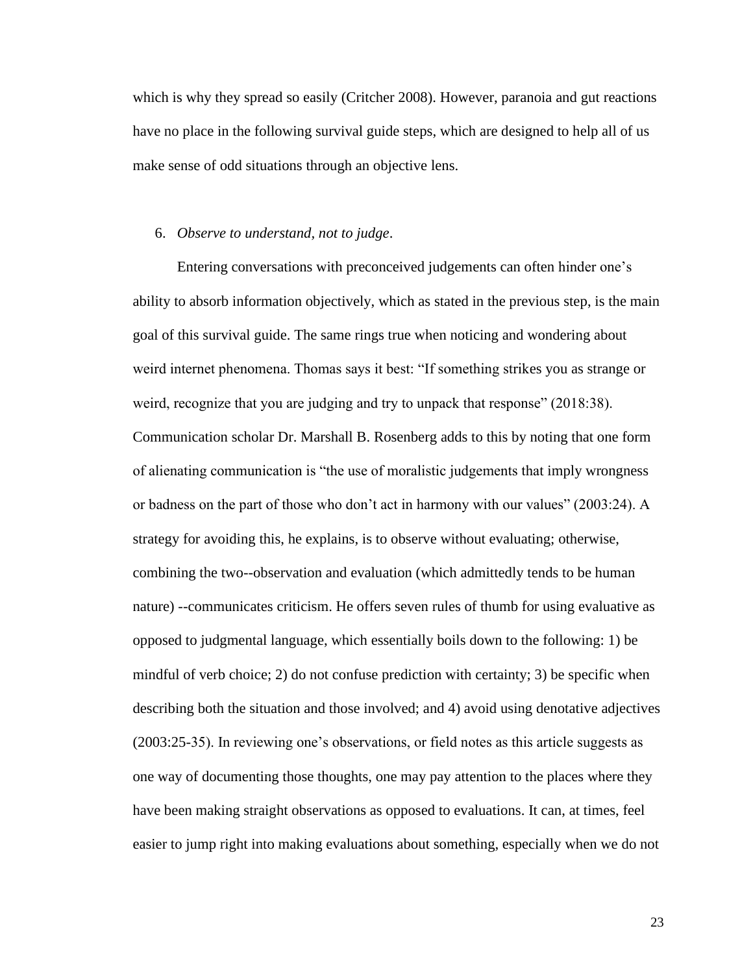which is why they spread so easily (Critcher 2008). However, paranoia and gut reactions have no place in the following survival guide steps, which are designed to help all of us make sense of odd situations through an objective lens.

#### 6. *Observe to understand, not to judge*.

Entering conversations with preconceived judgements can often hinder one's ability to absorb information objectively, which as stated in the previous step, is the main goal of this survival guide. The same rings true when noticing and wondering about weird internet phenomena. Thomas says it best: "If something strikes you as strange or weird, recognize that you are judging and try to unpack that response" (2018:38). Communication scholar Dr. Marshall B. Rosenberg adds to this by noting that one form of alienating communication is "the use of moralistic judgements that imply wrongness or badness on the part of those who don't act in harmony with our values" (2003:24). A strategy for avoiding this, he explains, is to observe without evaluating; otherwise, combining the two--observation and evaluation (which admittedly tends to be human nature) --communicates criticism. He offers seven rules of thumb for using evaluative as opposed to judgmental language, which essentially boils down to the following: 1) be mindful of verb choice; 2) do not confuse prediction with certainty; 3) be specific when describing both the situation and those involved; and 4) avoid using denotative adjectives (2003:25-35). In reviewing one's observations, or field notes as this article suggests as one way of documenting those thoughts, one may pay attention to the places where they have been making straight observations as opposed to evaluations. It can, at times, feel easier to jump right into making evaluations about something, especially when we do not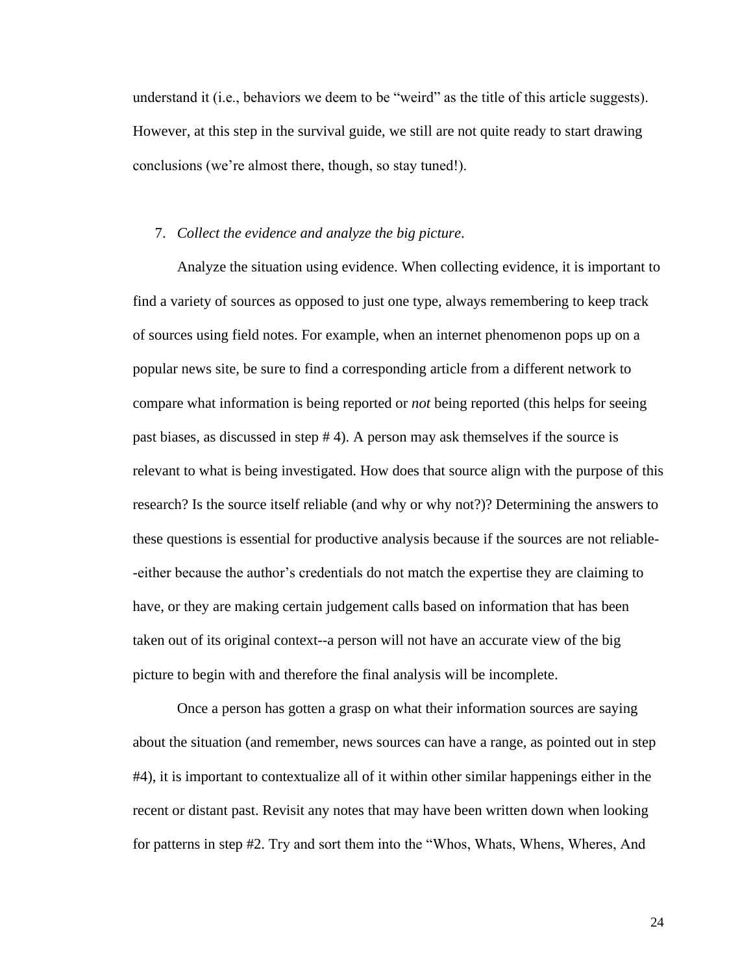understand it (i.e., behaviors we deem to be "weird" as the title of this article suggests). However, at this step in the survival guide, we still are not quite ready to start drawing conclusions (we're almost there, though, so stay tuned!).

#### 7. *Collect the evidence and analyze the big picture*.

Analyze the situation using evidence. When collecting evidence, it is important to find a variety of sources as opposed to just one type, always remembering to keep track of sources using field notes. For example, when an internet phenomenon pops up on a popular news site, be sure to find a corresponding article from a different network to compare what information is being reported or *not* being reported (this helps for seeing past biases, as discussed in step # 4). A person may ask themselves if the source is relevant to what is being investigated. How does that source align with the purpose of this research? Is the source itself reliable (and why or why not?)? Determining the answers to these questions is essential for productive analysis because if the sources are not reliable- -either because the author's credentials do not match the expertise they are claiming to have, or they are making certain judgement calls based on information that has been taken out of its original context--a person will not have an accurate view of the big picture to begin with and therefore the final analysis will be incomplete.

Once a person has gotten a grasp on what their information sources are saying about the situation (and remember, news sources can have a range, as pointed out in step #4), it is important to contextualize all of it within other similar happenings either in the recent or distant past. Revisit any notes that may have been written down when looking for patterns in step #2. Try and sort them into the "Whos, Whats, Whens, Wheres, And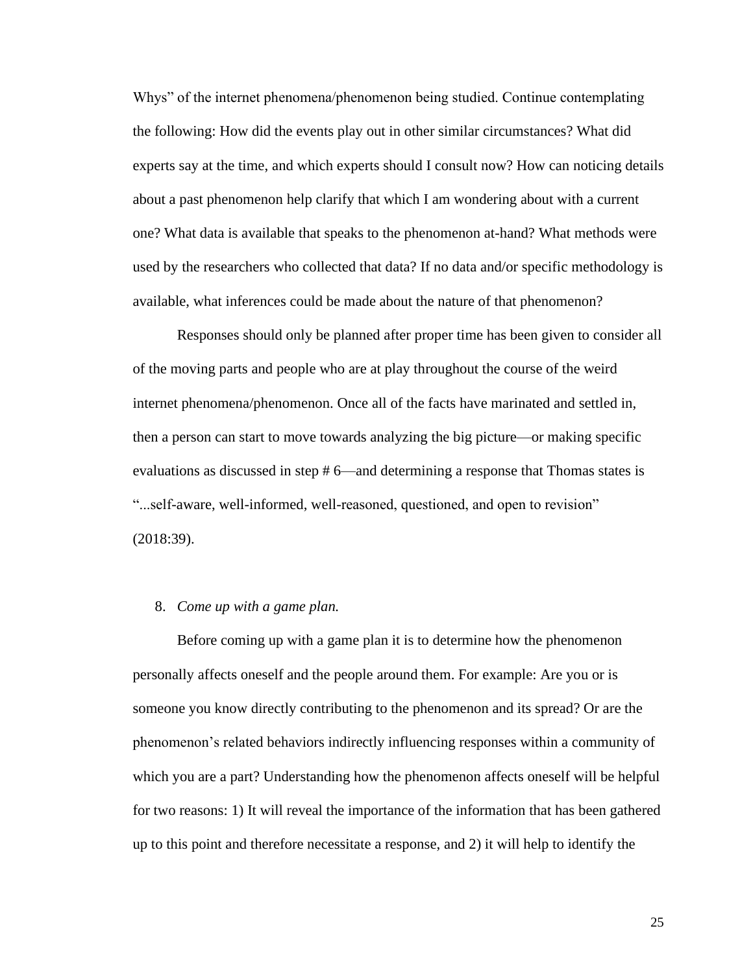Whys" of the internet phenomena/phenomenon being studied. Continue contemplating the following: How did the events play out in other similar circumstances? What did experts say at the time, and which experts should I consult now? How can noticing details about a past phenomenon help clarify that which I am wondering about with a current one? What data is available that speaks to the phenomenon at-hand? What methods were used by the researchers who collected that data? If no data and/or specific methodology is available, what inferences could be made about the nature of that phenomenon?

Responses should only be planned after proper time has been given to consider all of the moving parts and people who are at play throughout the course of the weird internet phenomena/phenomenon. Once all of the facts have marinated and settled in, then a person can start to move towards analyzing the big picture—or making specific evaluations as discussed in step # 6—and determining a response that Thomas states is "...self-aware, well-informed, well-reasoned, questioned, and open to revision" (2018:39).

#### 8. *Come up with a game plan.*

Before coming up with a game plan it is to determine how the phenomenon personally affects oneself and the people around them. For example: Are you or is someone you know directly contributing to the phenomenon and its spread? Or are the phenomenon's related behaviors indirectly influencing responses within a community of which you are a part? Understanding how the phenomenon affects oneself will be helpful for two reasons: 1) It will reveal the importance of the information that has been gathered up to this point and therefore necessitate a response, and 2) it will help to identify the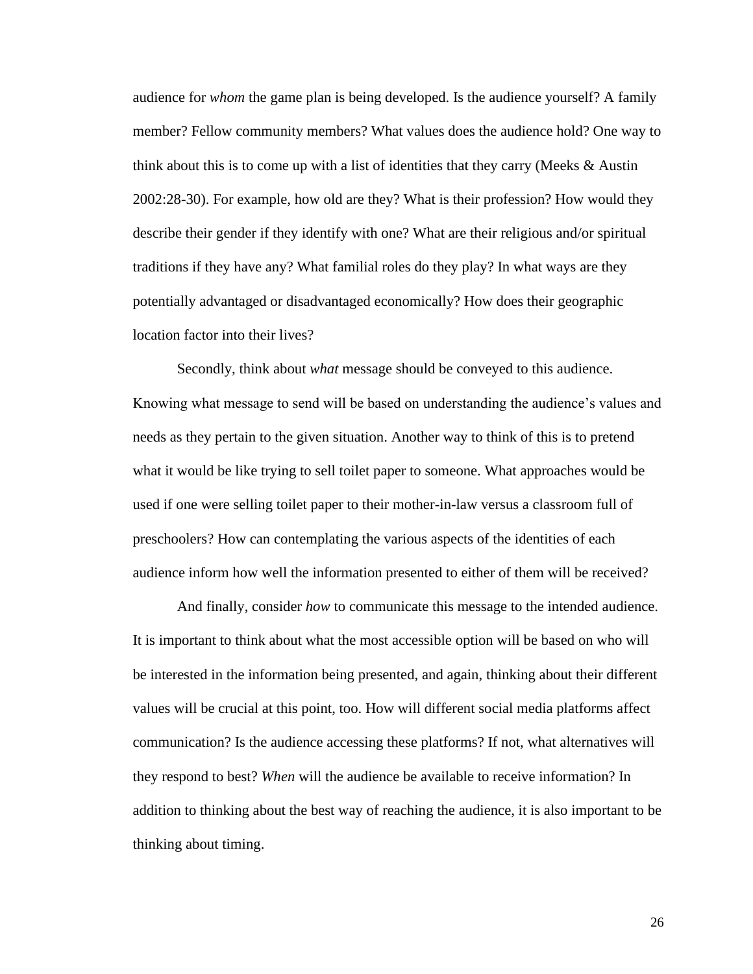audience for *whom* the game plan is being developed. Is the audience yourself? A family member? Fellow community members? What values does the audience hold? One way to think about this is to come up with a list of identities that they carry (Meeks & Austin 2002:28-30). For example, how old are they? What is their profession? How would they describe their gender if they identify with one? What are their religious and/or spiritual traditions if they have any? What familial roles do they play? In what ways are they potentially advantaged or disadvantaged economically? How does their geographic location factor into their lives?

Secondly, think about *what* message should be conveyed to this audience. Knowing what message to send will be based on understanding the audience's values and needs as they pertain to the given situation. Another way to think of this is to pretend what it would be like trying to sell toilet paper to someone. What approaches would be used if one were selling toilet paper to their mother-in-law versus a classroom full of preschoolers? How can contemplating the various aspects of the identities of each audience inform how well the information presented to either of them will be received?

And finally, consider *how* to communicate this message to the intended audience. It is important to think about what the most accessible option will be based on who will be interested in the information being presented, and again, thinking about their different values will be crucial at this point, too. How will different social media platforms affect communication? Is the audience accessing these platforms? If not, what alternatives will they respond to best? *When* will the audience be available to receive information? In addition to thinking about the best way of reaching the audience, it is also important to be thinking about timing.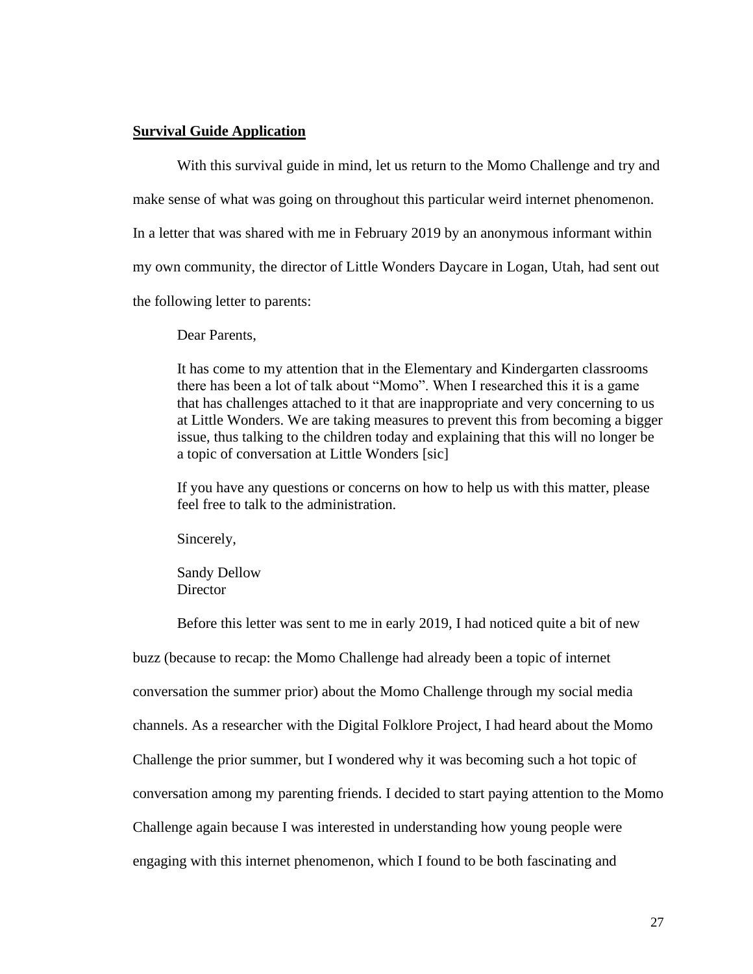#### **Survival Guide Application**

With this survival guide in mind, let us return to the Momo Challenge and try and make sense of what was going on throughout this particular weird internet phenomenon. In a letter that was shared with me in February 2019 by an anonymous informant within my own community, the director of Little Wonders Daycare in Logan, Utah, had sent out the following letter to parents:

Dear Parents,

It has come to my attention that in the Elementary and Kindergarten classrooms there has been a lot of talk about "Momo". When I researched this it is a game that has challenges attached to it that are inappropriate and very concerning to us at Little Wonders. We are taking measures to prevent this from becoming a bigger issue, thus talking to the children today and explaining that this will no longer be a topic of conversation at Little Wonders [sic]

If you have any questions or concerns on how to help us with this matter, please feel free to talk to the administration.

Sincerely,

Sandy Dellow **Director** 

Before this letter was sent to me in early 2019, I had noticed quite a bit of new buzz (because to recap: the Momo Challenge had already been a topic of internet conversation the summer prior) about the Momo Challenge through my social media channels. As a researcher with the Digital Folklore Project, I had heard about the Momo Challenge the prior summer, but I wondered why it was becoming such a hot topic of conversation among my parenting friends. I decided to start paying attention to the Momo Challenge again because I was interested in understanding how young people were engaging with this internet phenomenon, which I found to be both fascinating and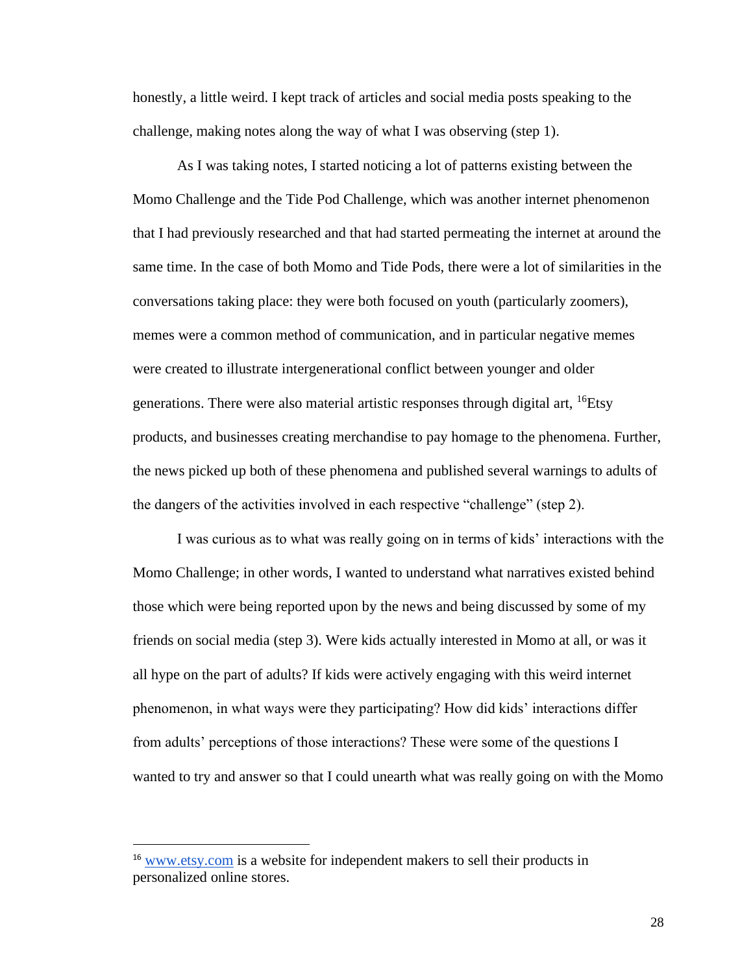honestly, a little weird. I kept track of articles and social media posts speaking to the challenge, making notes along the way of what I was observing (step 1).

As I was taking notes, I started noticing a lot of patterns existing between the Momo Challenge and the Tide Pod Challenge, which was another internet phenomenon that I had previously researched and that had started permeating the internet at around the same time. In the case of both Momo and Tide Pods, there were a lot of similarities in the conversations taking place: they were both focused on youth (particularly zoomers), memes were a common method of communication, and in particular negative memes were created to illustrate intergenerational conflict between younger and older generations. There were also material artistic responses through digital art, <sup>16</sup>Etsy products, and businesses creating merchandise to pay homage to the phenomena. Further, the news picked up both of these phenomena and published several warnings to adults of the dangers of the activities involved in each respective "challenge" (step 2).

I was curious as to what was really going on in terms of kids' interactions with the Momo Challenge; in other words, I wanted to understand what narratives existed behind those which were being reported upon by the news and being discussed by some of my friends on social media (step 3). Were kids actually interested in Momo at all, or was it all hype on the part of adults? If kids were actively engaging with this weird internet phenomenon, in what ways were they participating? How did kids' interactions differ from adults' perceptions of those interactions? These were some of the questions I wanted to try and answer so that I could unearth what was really going on with the Momo

<sup>&</sup>lt;sup>16</sup> [www.etsy.com](http://www.etsy.com/) is a website for independent makers to sell their products in personalized online stores.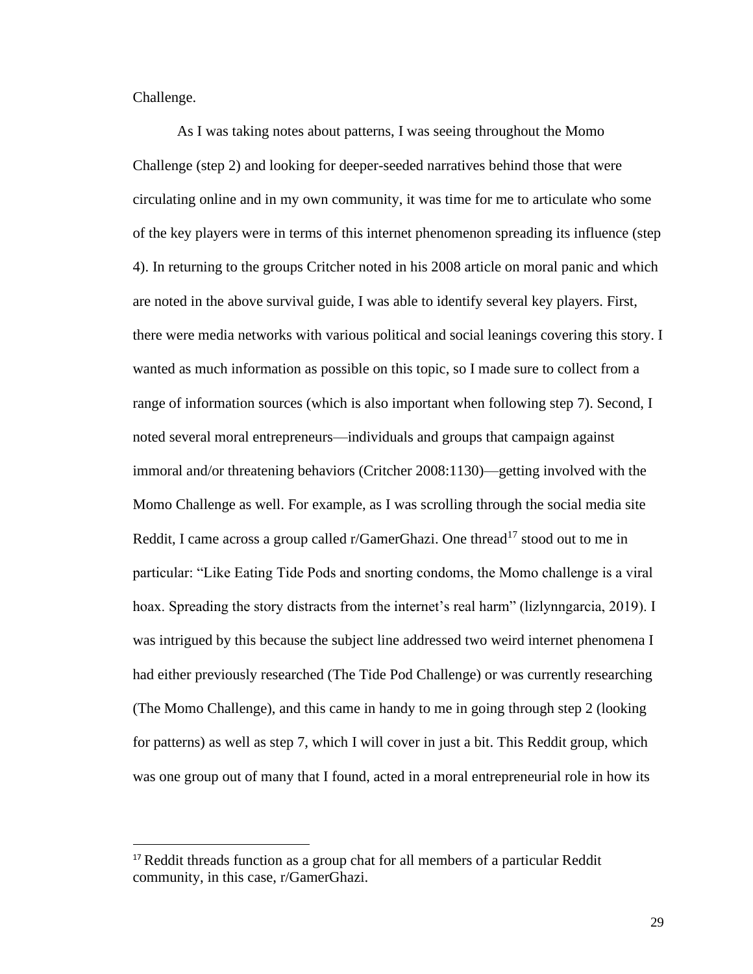Challenge.

As I was taking notes about patterns, I was seeing throughout the Momo Challenge (step 2) and looking for deeper-seeded narratives behind those that were circulating online and in my own community, it was time for me to articulate who some of the key players were in terms of this internet phenomenon spreading its influence (step 4). In returning to the groups Critcher noted in his 2008 article on moral panic and which are noted in the above survival guide, I was able to identify several key players. First, there were media networks with various political and social leanings covering this story. I wanted as much information as possible on this topic, so I made sure to collect from a range of information sources (which is also important when following step 7). Second, I noted several moral entrepreneurs—individuals and groups that campaign against immoral and/or threatening behaviors (Critcher 2008:1130)—getting involved with the Momo Challenge as well. For example, as I was scrolling through the social media site Reddit, I came across a group called r/GamerGhazi. One thread<sup>17</sup> stood out to me in particular: "Like Eating Tide Pods and snorting condoms, the Momo challenge is a viral hoax. Spreading the story distracts from the internet's real harm" (lizlynngarcia, 2019). I was intrigued by this because the subject line addressed two weird internet phenomena I had either previously researched (The Tide Pod Challenge) or was currently researching (The Momo Challenge), and this came in handy to me in going through step 2 (looking for patterns) as well as step 7, which I will cover in just a bit. This Reddit group, which was one group out of many that I found, acted in a moral entrepreneurial role in how its

<sup>&</sup>lt;sup>17</sup> Reddit threads function as a group chat for all members of a particular Reddit community, in this case, r/GamerGhazi.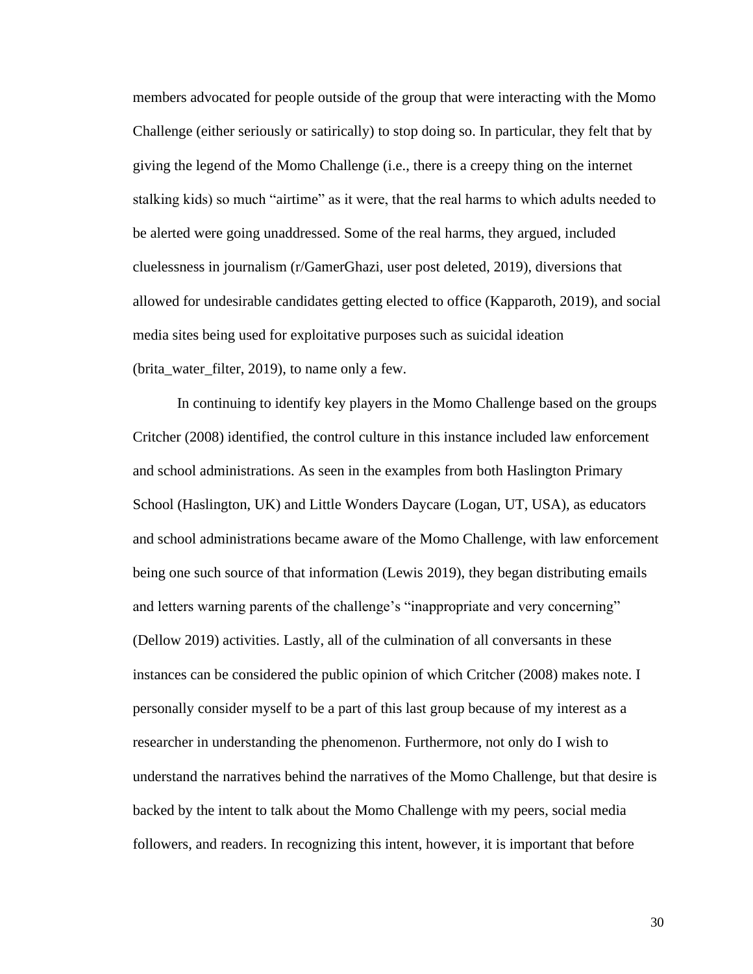members advocated for people outside of the group that were interacting with the Momo Challenge (either seriously or satirically) to stop doing so. In particular, they felt that by giving the legend of the Momo Challenge (i.e., there is a creepy thing on the internet stalking kids) so much "airtime" as it were, that the real harms to which adults needed to be alerted were going unaddressed. Some of the real harms, they argued, included cluelessness in journalism (r/GamerGhazi, user post deleted, 2019), diversions that allowed for undesirable candidates getting elected to office (Kapparoth, 2019), and social media sites being used for exploitative purposes such as suicidal ideation (brita\_water\_filter, 2019), to name only a few.

In continuing to identify key players in the Momo Challenge based on the groups Critcher (2008) identified, the control culture in this instance included law enforcement and school administrations. As seen in the examples from both Haslington Primary School (Haslington, UK) and Little Wonders Daycare (Logan, UT, USA), as educators and school administrations became aware of the Momo Challenge, with law enforcement being one such source of that information (Lewis 2019), they began distributing emails and letters warning parents of the challenge's "inappropriate and very concerning" (Dellow 2019) activities. Lastly, all of the culmination of all conversants in these instances can be considered the public opinion of which Critcher (2008) makes note. I personally consider myself to be a part of this last group because of my interest as a researcher in understanding the phenomenon. Furthermore, not only do I wish to understand the narratives behind the narratives of the Momo Challenge, but that desire is backed by the intent to talk about the Momo Challenge with my peers, social media followers, and readers. In recognizing this intent, however, it is important that before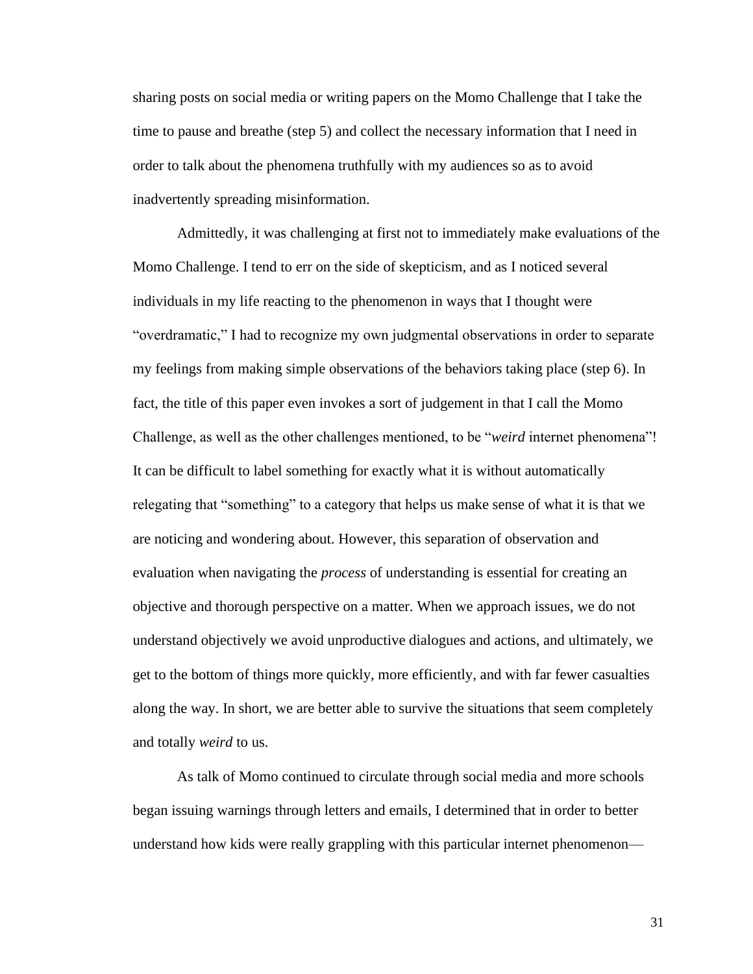sharing posts on social media or writing papers on the Momo Challenge that I take the time to pause and breathe (step 5) and collect the necessary information that I need in order to talk about the phenomena truthfully with my audiences so as to avoid inadvertently spreading misinformation.

Admittedly, it was challenging at first not to immediately make evaluations of the Momo Challenge. I tend to err on the side of skepticism, and as I noticed several individuals in my life reacting to the phenomenon in ways that I thought were "overdramatic," I had to recognize my own judgmental observations in order to separate my feelings from making simple observations of the behaviors taking place (step 6). In fact, the title of this paper even invokes a sort of judgement in that I call the Momo Challenge, as well as the other challenges mentioned, to be "*weird* internet phenomena"! It can be difficult to label something for exactly what it is without automatically relegating that "something" to a category that helps us make sense of what it is that we are noticing and wondering about. However, this separation of observation and evaluation when navigating the *process* of understanding is essential for creating an objective and thorough perspective on a matter. When we approach issues, we do not understand objectively we avoid unproductive dialogues and actions, and ultimately, we get to the bottom of things more quickly, more efficiently, and with far fewer casualties along the way. In short, we are better able to survive the situations that seem completely and totally *weird* to us.

As talk of Momo continued to circulate through social media and more schools began issuing warnings through letters and emails, I determined that in order to better understand how kids were really grappling with this particular internet phenomenon—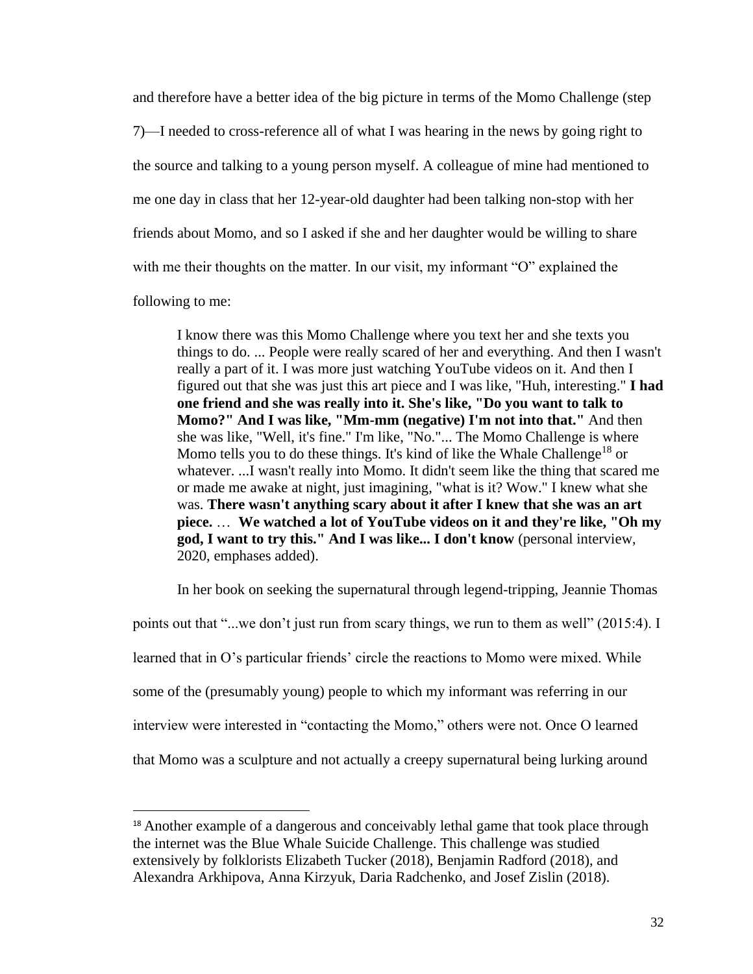and therefore have a better idea of the big picture in terms of the Momo Challenge (step 7)—I needed to cross-reference all of what I was hearing in the news by going right to the source and talking to a young person myself. A colleague of mine had mentioned to me one day in class that her 12-year-old daughter had been talking non-stop with her friends about Momo, and so I asked if she and her daughter would be willing to share with me their thoughts on the matter. In our visit, my informant "O" explained the

following to me:

I know there was this Momo Challenge where you text her and she texts you things to do. ... People were really scared of her and everything. And then I wasn't really a part of it. I was more just watching YouTube videos on it. And then I figured out that she was just this art piece and I was like, "Huh, interesting." **I had one friend and she was really into it. She's like, "Do you want to talk to Momo?" And I was like, "Mm-mm (negative) I'm not into that."** And then she was like, "Well, it's fine." I'm like, "No."... The Momo Challenge is where Momo tells you to do these things. It's kind of like the Whale Challenge<sup>18</sup> or whatever. ...I wasn't really into Momo. It didn't seem like the thing that scared me or made me awake at night, just imagining, "what is it? Wow." I knew what she was. **There wasn't anything scary about it after I knew that she was an art piece.** … **We watched a lot of YouTube videos on it and they're like, "Oh my god, I want to try this." And I was like... I don't know** (personal interview, 2020, emphases added).

In her book on seeking the supernatural through legend-tripping, Jeannie Thomas points out that "...we don't just run from scary things, we run to them as well" (2015:4). I learned that in O's particular friends' circle the reactions to Momo were mixed. While some of the (presumably young) people to which my informant was referring in our interview were interested in "contacting the Momo," others were not. Once O learned that Momo was a sculpture and not actually a creepy supernatural being lurking around

<sup>&</sup>lt;sup>18</sup> Another example of a dangerous and conceivably lethal game that took place through the internet was the Blue Whale Suicide Challenge. This challenge was studied extensively by folklorists Elizabeth Tucker (2018), Benjamin Radford (2018), and Alexandra Arkhipova, Anna Kirzyuk, Daria Radchenko, and Josef Zislin (2018).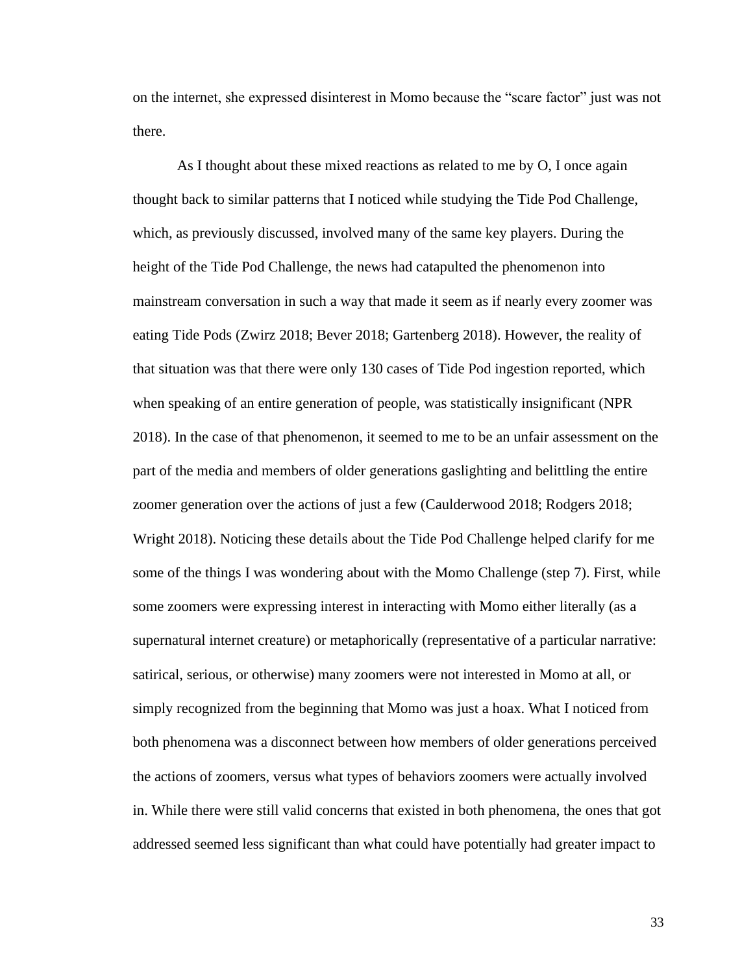on the internet, she expressed disinterest in Momo because the "scare factor" just was not there.

As I thought about these mixed reactions as related to me by O, I once again thought back to similar patterns that I noticed while studying the Tide Pod Challenge, which, as previously discussed, involved many of the same key players. During the height of the Tide Pod Challenge, the news had catapulted the phenomenon into mainstream conversation in such a way that made it seem as if nearly every zoomer was eating Tide Pods (Zwirz 2018; Bever 2018; Gartenberg 2018). However, the reality of that situation was that there were only 130 cases of Tide Pod ingestion reported, which when speaking of an entire generation of people, was statistically insignificant (NPR 2018). In the case of that phenomenon, it seemed to me to be an unfair assessment on the part of the media and members of older generations gaslighting and belittling the entire zoomer generation over the actions of just a few (Caulderwood 2018; Rodgers 2018; Wright 2018). Noticing these details about the Tide Pod Challenge helped clarify for me some of the things I was wondering about with the Momo Challenge (step 7). First, while some zoomers were expressing interest in interacting with Momo either literally (as a supernatural internet creature) or metaphorically (representative of a particular narrative: satirical, serious, or otherwise) many zoomers were not interested in Momo at all, or simply recognized from the beginning that Momo was just a hoax. What I noticed from both phenomena was a disconnect between how members of older generations perceived the actions of zoomers, versus what types of behaviors zoomers were actually involved in. While there were still valid concerns that existed in both phenomena, the ones that got addressed seemed less significant than what could have potentially had greater impact to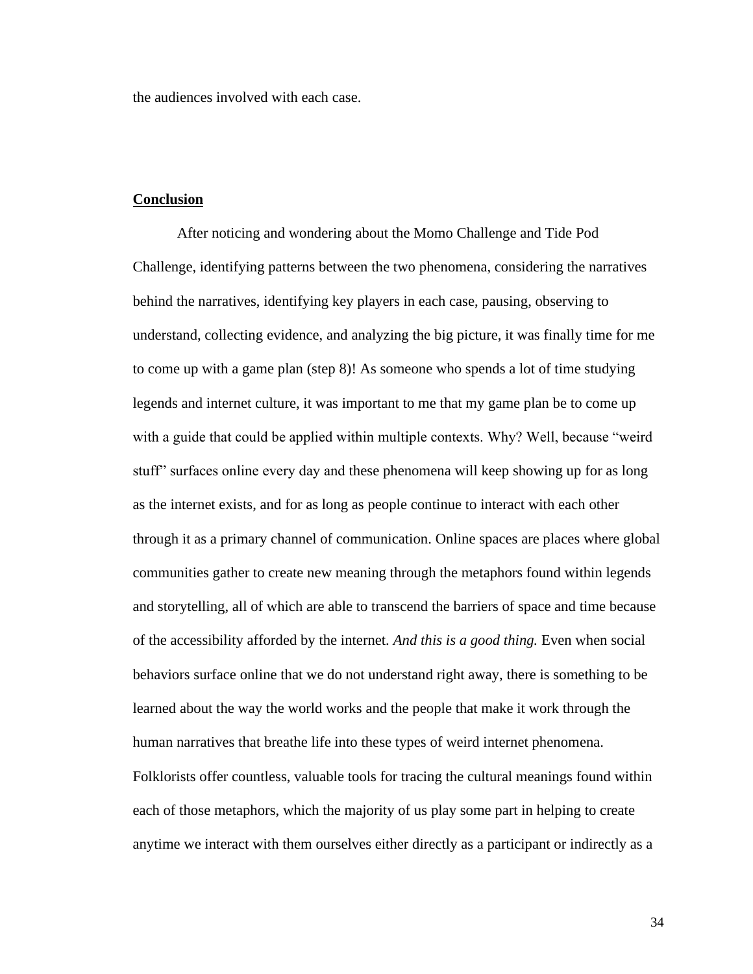the audiences involved with each case.

#### **Conclusion**

After noticing and wondering about the Momo Challenge and Tide Pod Challenge, identifying patterns between the two phenomena, considering the narratives behind the narratives, identifying key players in each case, pausing, observing to understand, collecting evidence, and analyzing the big picture, it was finally time for me to come up with a game plan (step 8)! As someone who spends a lot of time studying legends and internet culture, it was important to me that my game plan be to come up with a guide that could be applied within multiple contexts. Why? Well, because "weird stuff" surfaces online every day and these phenomena will keep showing up for as long as the internet exists, and for as long as people continue to interact with each other through it as a primary channel of communication. Online spaces are places where global communities gather to create new meaning through the metaphors found within legends and storytelling, all of which are able to transcend the barriers of space and time because of the accessibility afforded by the internet. *And this is a good thing.* Even when social behaviors surface online that we do not understand right away, there is something to be learned about the way the world works and the people that make it work through the human narratives that breathe life into these types of weird internet phenomena. Folklorists offer countless, valuable tools for tracing the cultural meanings found within each of those metaphors, which the majority of us play some part in helping to create anytime we interact with them ourselves either directly as a participant or indirectly as a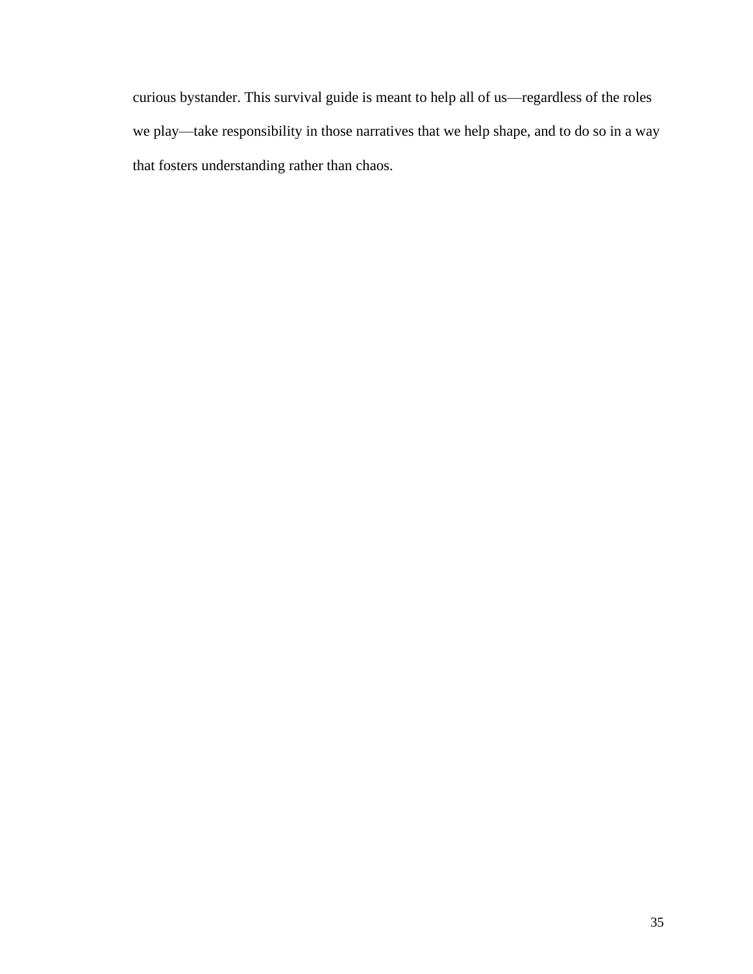curious bystander. This survival guide is meant to help all of us—regardless of the roles we play—take responsibility in those narratives that we help shape, and to do so in a way that fosters understanding rather than chaos.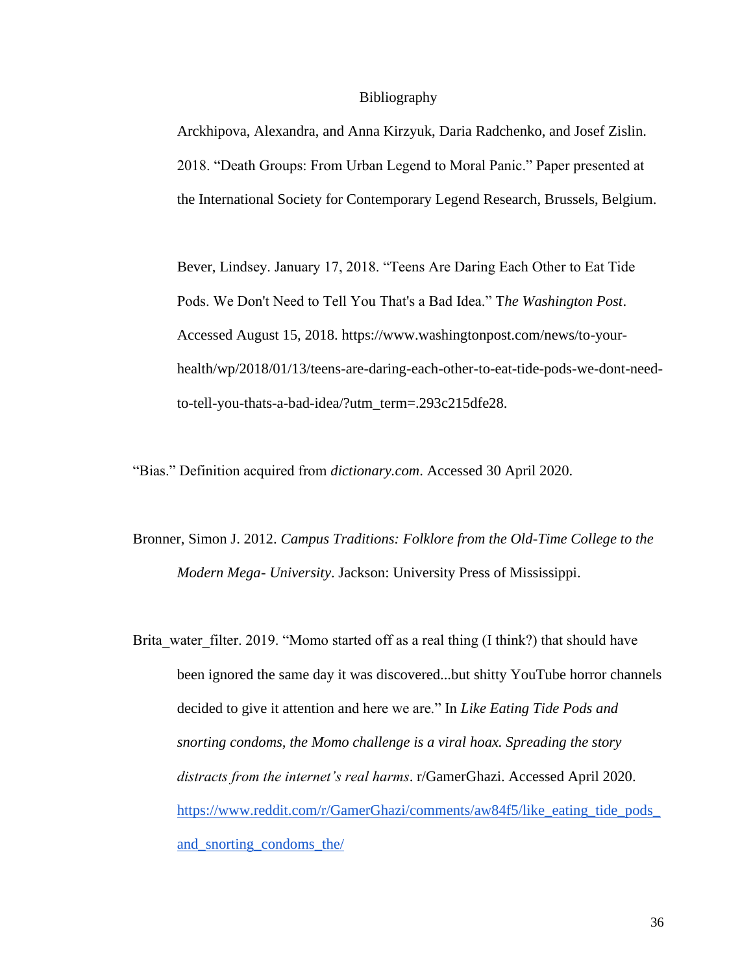#### Bibliography

Arckhipova, Alexandra, and Anna Kirzyuk, Daria Radchenko, and Josef Zislin. 2018. "Death Groups: From Urban Legend to Moral Panic." Paper presented at the International Society for Contemporary Legend Research, Brussels, Belgium.

Bever, Lindsey. January 17, 2018. "Teens Are Daring Each Other to Eat Tide Pods. We Don't Need to Tell You That's a Bad Idea." T*he Washington Post*. Accessed August 15, 2018. https://www.washingtonpost.com/news/to-yourhealth/wp/2018/01/13/teens-are-daring-each-other-to-eat-tide-pods-we-dont-needto-tell-you-thats-a-bad-idea/?utm\_term=.293c215dfe28.

"Bias." Definition acquired from *dictionary.com*. Accessed 30 April 2020.

- Bronner, Simon J. 2012. *Campus Traditions: Folklore from the Old-Time College to the Modern Mega- University*. Jackson: University Press of Mississippi.
- Brita water filter. 2019. "Momo started off as a real thing (I think?) that should have been ignored the same day it was discovered...but shitty YouTube horror channels decided to give it attention and here we are." In *Like Eating Tide Pods and snorting condoms, the Momo challenge is a viral hoax. Spreading the story distracts from the internet's real harms*. r/GamerGhazi. Accessed April 2020. [https://www.reddit.com/r/GamerGhazi/comments/aw84f5/like\\_eating\\_tide\\_pods\\_](https://www.reddit.com/r/GamerGhazi/comments/aw84f5/like_eating_tide_pods_and_snorting_condoms_the/) [and\\_snorting\\_condoms\\_the/](https://www.reddit.com/r/GamerGhazi/comments/aw84f5/like_eating_tide_pods_and_snorting_condoms_the/)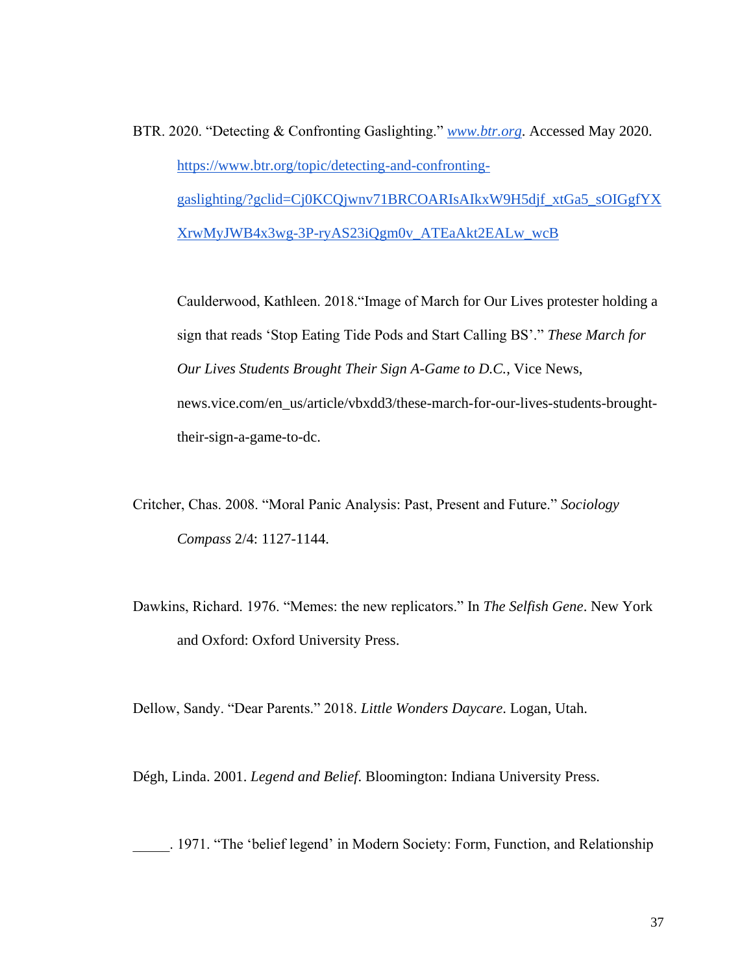BTR. 2020. "Detecting & Confronting Gaslighting." *[www.btr.org](http://www.btr.org/)*. Accessed May 2020. [https://www.btr.org/topic/detecting-and-confronting](https://www.btr.org/topic/detecting-and-confronting-gaslighting/?gclid=Cj0KCQjwnv71BRCOARIsAIkxW9H5djf_xtGa5_sOIGgfYXXrwMyJWB4x3wg-3P-ryAS23iQgm0v_ATEaAkt2EALw_wcB)[gaslighting/?gclid=Cj0KCQjwnv71BRCOARIsAIkxW9H5djf\\_xtGa5\\_sOIGgfYX](https://www.btr.org/topic/detecting-and-confronting-gaslighting/?gclid=Cj0KCQjwnv71BRCOARIsAIkxW9H5djf_xtGa5_sOIGgfYXXrwMyJWB4x3wg-3P-ryAS23iQgm0v_ATEaAkt2EALw_wcB) [XrwMyJWB4x3wg-3P-ryAS23iQgm0v\\_ATEaAkt2EALw\\_wcB](https://www.btr.org/topic/detecting-and-confronting-gaslighting/?gclid=Cj0KCQjwnv71BRCOARIsAIkxW9H5djf_xtGa5_sOIGgfYXXrwMyJWB4x3wg-3P-ryAS23iQgm0v_ATEaAkt2EALw_wcB)

Caulderwood, Kathleen. 2018."Image of March for Our Lives protester holding a sign that reads 'Stop Eating Tide Pods and Start Calling BS'." *These March for Our Lives Students Brought Their Sign A-Game to D.C.*, Vice News, news.vice.com/en\_us/article/vbxdd3/these-march-for-our-lives-students-broughttheir-sign-a-game-to-dc.

Critcher, Chas. 2008. "Moral Panic Analysis: Past, Present and Future." *Sociology Compass* 2/4: 1127-1144.

Dawkins, Richard. 1976. "Memes: the new replicators." In *The Selfish Gene*. New York and Oxford: Oxford University Press.

Dellow, Sandy. "Dear Parents." 2018. *Little Wonders Daycare*. Logan, Utah.

Dégh, Linda. 2001. *Legend and Belief*. Bloomington: Indiana University Press.

\_\_\_\_\_. 1971. "The 'belief legend' in Modern Society: Form, Function, and Relationship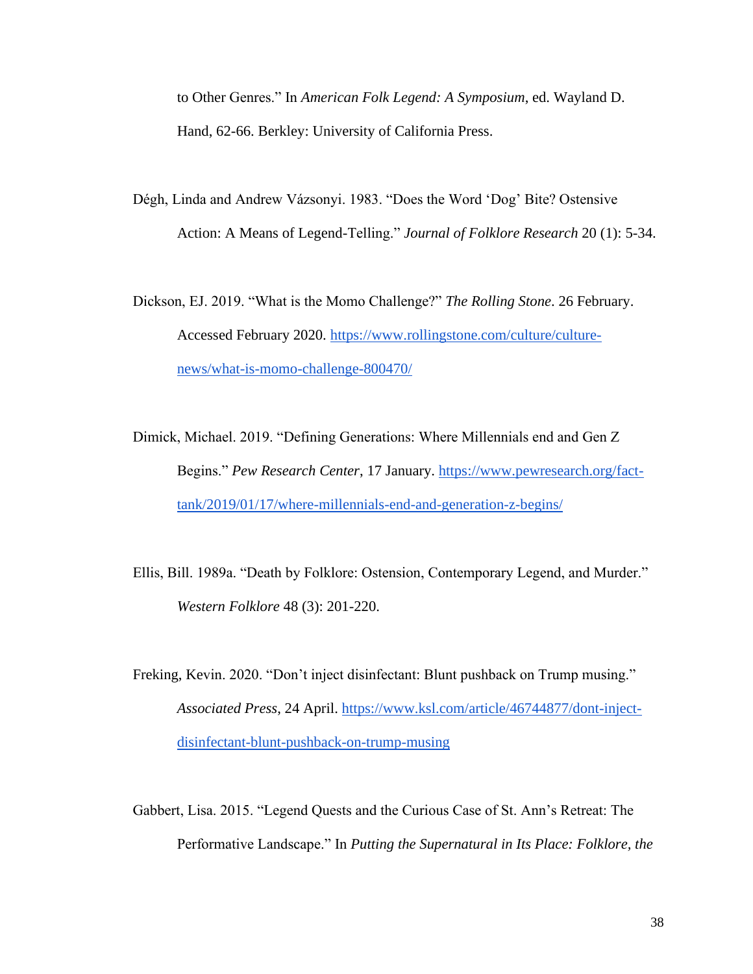to Other Genres." In *American Folk Legend: A Symposium*, ed. Wayland D. Hand, 62-66. Berkley: University of California Press.

Dégh, Linda and Andrew Vázsonyi. 1983. "Does the Word 'Dog' Bite? Ostensive Action: A Means of Legend-Telling." *Journal of Folklore Research* 20 (1): 5-34.

Dickson, EJ. 2019. "What is the Momo Challenge?" *The Rolling Stone*. 26 February. Accessed February 2020. [https://www.rollingstone.com/culture/culture](https://www.rollingstone.com/culture/culture-news/what-is-momo-challenge-800470/)[news/what-is-momo-challenge-800470/](https://www.rollingstone.com/culture/culture-news/what-is-momo-challenge-800470/)

Dimick, Michael. 2019. "Defining Generations: Where Millennials end and Gen Z Begins." *Pew Research Center*, 17 January. [https://www.pewresearch.org/fact](https://www.pewresearch.org/fact-tank/2019/01/17/where-millennials-end-and-generation-z-begins/)[tank/2019/01/17/where-millennials-end-and-generation-z-begins/](https://www.pewresearch.org/fact-tank/2019/01/17/where-millennials-end-and-generation-z-begins/)

Ellis, Bill. 1989a. "Death by Folklore: Ostension, Contemporary Legend, and Murder." *Western Folklore* 48 (3): 201-220.

Freking, Kevin. 2020. "Don't inject disinfectant: Blunt pushback on Trump musing." *Associated Press*, 24 April. [https://www.ksl.com/article/46744877/dont-inject](https://www.ksl.com/article/46744877/dont-inject-disinfectant-blunt-pushback-on-trump-musing)[disinfectant-blunt-pushback-on-trump-musing](https://www.ksl.com/article/46744877/dont-inject-disinfectant-blunt-pushback-on-trump-musing)

Gabbert, Lisa. 2015. "Legend Quests and the Curious Case of St. Ann's Retreat: The Performative Landscape." In *Putting the Supernatural in Its Place: Folklore, the*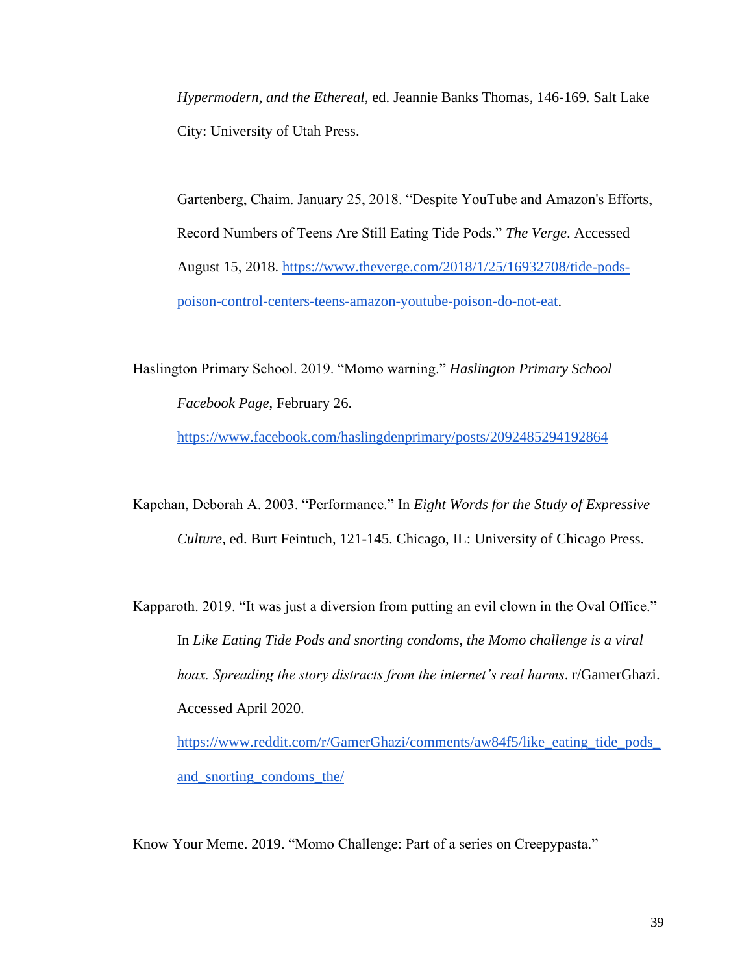*Hypermodern, and the Ethereal*, ed. Jeannie Banks Thomas, 146-169. Salt Lake City: University of Utah Press.

Gartenberg, Chaim. January 25, 2018. "Despite YouTube and Amazon's Efforts, Record Numbers of Teens Are Still Eating Tide Pods." *The Verge*. Accessed August 15, 2018. [https://www.theverge.com/2018/1/25/16932708/tide-pods](https://www.theverge.com/2018/1/25/16932708/tide-pods-poison-control-centers-teens-amazon-youtube-poison-do-not-eat)[poison-control-centers-teens-amazon-youtube-poison-do-not-eat.](https://www.theverge.com/2018/1/25/16932708/tide-pods-poison-control-centers-teens-amazon-youtube-poison-do-not-eat)

Haslington Primary School. 2019. "Momo warning." *Haslington Primary School Facebook Page*, February 26. <https://www.facebook.com/haslingdenprimary/posts/2092485294192864>

Kapchan, Deborah A. 2003. "Performance." In *Eight Words for the Study of Expressive Culture,* ed. Burt Feintuch, 121-145. Chicago, IL: University of Chicago Press.

Kapparoth. 2019. "It was just a diversion from putting an evil clown in the Oval Office." In *Like Eating Tide Pods and snorting condoms, the Momo challenge is a viral hoax. Spreading the story distracts from the internet's real harms*. r/GamerGhazi. Accessed April 2020. [https://www.reddit.com/r/GamerGhazi/comments/aw84f5/like\\_eating\\_tide\\_pods\\_](https://www.reddit.com/r/GamerGhazi/comments/aw84f5/like_eating_tide_pods_and_snorting_condoms_the/)

[and\\_snorting\\_condoms\\_the/](https://www.reddit.com/r/GamerGhazi/comments/aw84f5/like_eating_tide_pods_and_snorting_condoms_the/)

Know Your Meme. 2019. "Momo Challenge: Part of a series on Creepypasta."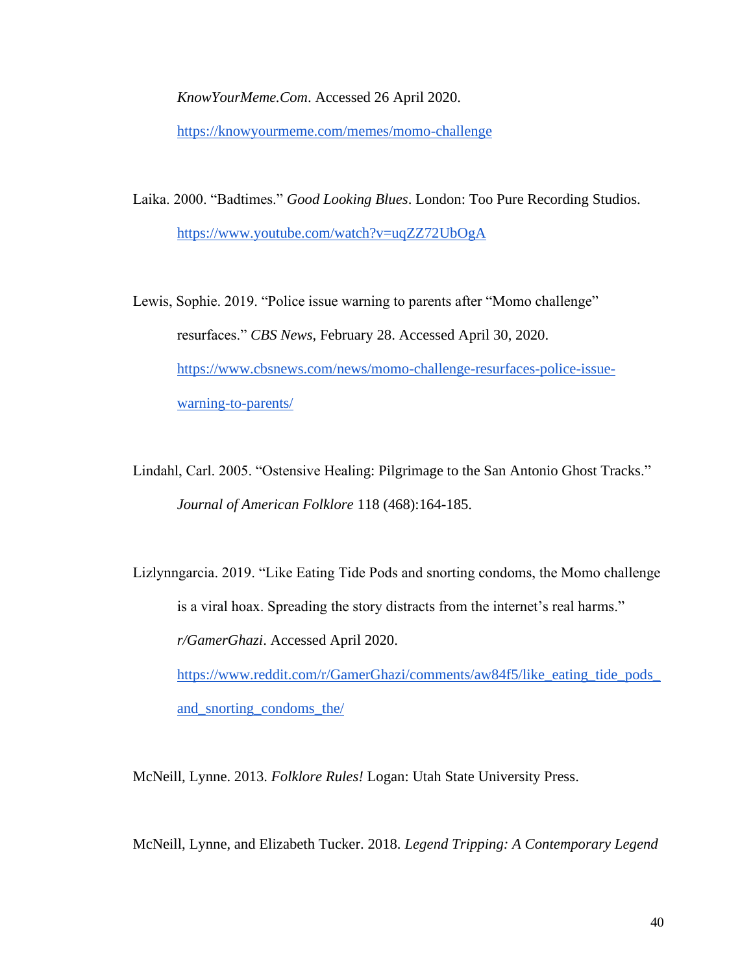*KnowYourMeme.Com*. Accessed 26 April 2020.

<https://knowyourmeme.com/memes/momo-challenge>

Laika. 2000. "Badtimes." *Good Looking Blues*. London: Too Pure Recording Studios. <https://www.youtube.com/watch?v=uqZZ72UbOgA>

Lewis, Sophie. 2019. "Police issue warning to parents after "Momo challenge" resurfaces." *CBS News*, February 28. Accessed April 30, 2020. [https://www.cbsnews.com/news/momo-challenge-resurfaces-police-issue](https://www.cbsnews.com/news/momo-challenge-resurfaces-police-issue-warning-to-parents/)[warning-to-parents/](https://www.cbsnews.com/news/momo-challenge-resurfaces-police-issue-warning-to-parents/)

Lindahl, Carl. 2005. "Ostensive Healing: Pilgrimage to the San Antonio Ghost Tracks." *Journal of American Folklore* 118 (468):164-185.

Lizlynngarcia. 2019. "Like Eating Tide Pods and snorting condoms, the Momo challenge is a viral hoax. Spreading the story distracts from the internet's real harms." *r/GamerGhazi*. Accessed April 2020. [https://www.reddit.com/r/GamerGhazi/comments/aw84f5/like\\_eating\\_tide\\_pods\\_](https://www.reddit.com/r/GamerGhazi/comments/aw84f5/like_eating_tide_pods_and_snorting_condoms_the/)

[and\\_snorting\\_condoms\\_the/](https://www.reddit.com/r/GamerGhazi/comments/aw84f5/like_eating_tide_pods_and_snorting_condoms_the/)

McNeill, Lynne. 2013. *Folklore Rules!* Logan: Utah State University Press.

McNeill, Lynne, and Elizabeth Tucker. 2018. *Legend Tripping: A Contemporary Legend*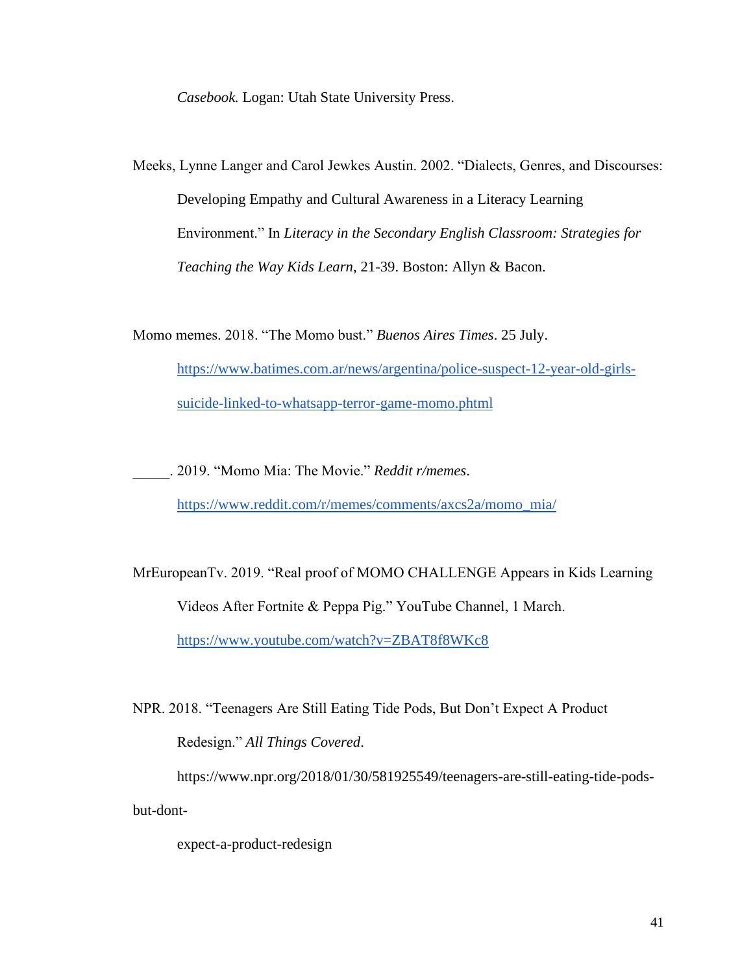*Casebook.* Logan: Utah State University Press.

Meeks, Lynne Langer and Carol Jewkes Austin. 2002. "Dialects, Genres, and Discourses: Developing Empathy and Cultural Awareness in a Literacy Learning Environment." In *Literacy in the Secondary English Classroom: Strategies for Teaching the Way Kids Learn*, 21-39. Boston: Allyn & Bacon.

Momo memes. 2018. "The Momo bust." *Buenos Aires Times*. 25 July. [https://www.batimes.com.ar/news/argentina/police-suspect-12-year-old-girls](https://www.batimes.com.ar/news/argentina/police-suspect-12-year-old-girls-suicide-linked-to-whatsapp-terror-game-momo.phtml)[suicide-linked-to-whatsapp-terror-game-momo.phtml](https://www.batimes.com.ar/news/argentina/police-suspect-12-year-old-girls-suicide-linked-to-whatsapp-terror-game-momo.phtml)

\_\_\_\_\_. 2019. "Momo Mia: The Movie." *Reddit r/memes*.

[https://www.reddit.com/r/memes/comments/axcs2a/momo\\_mia/](https://www.reddit.com/r/memes/comments/axcs2a/momo_mia/)

MrEuropeanTv. 2019. "Real proof of MOMO CHALLENGE Appears in Kids Learning Videos After Fortnite & Peppa Pig." YouTube Channel, 1 March. <https://www.youtube.com/watch?v=ZBAT8f8WKc8>

NPR. 2018. "Teenagers Are Still Eating Tide Pods, But Don't Expect A Product Redesign." *All Things Covered*.

https://www.npr.org/2018/01/30/581925549/teenagers-are-still-eating-tide-podsbut-dont-

expect-a-product-redesign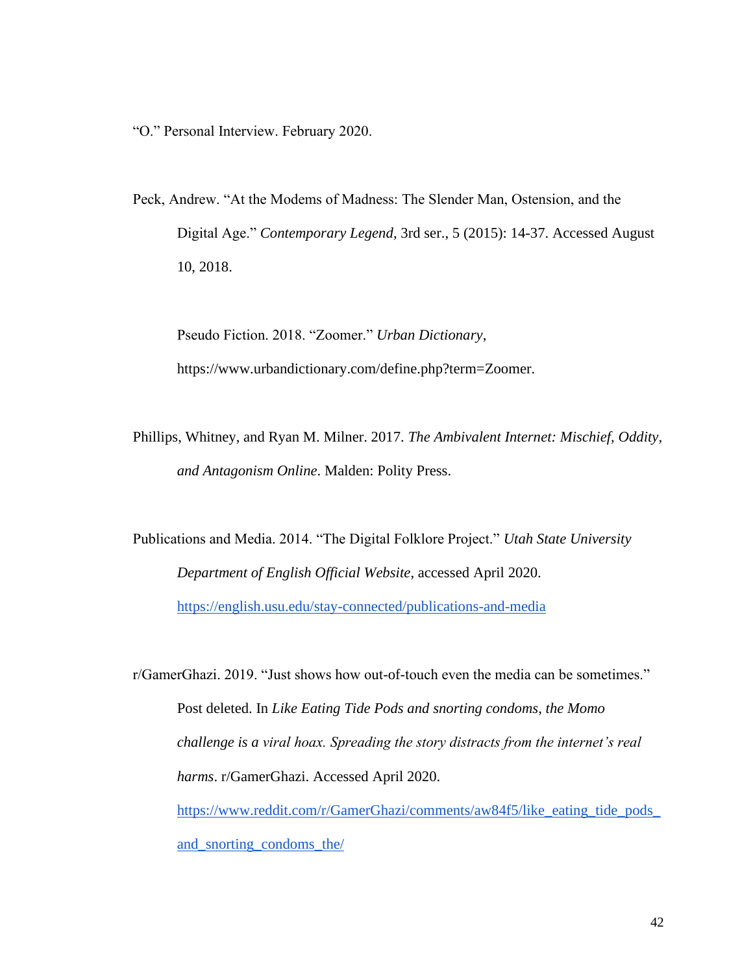"O." Personal Interview. February 2020.

Peck, Andrew. "At the Modems of Madness: The Slender Man, Ostension, and the Digital Age." *Contemporary Legend*, 3rd ser., 5 (2015): 14-37. Accessed August 10, 2018.

Pseudo Fiction. 2018. "Zoomer." *Urban Dictionary*, https://www.urbandictionary.com/define.php?term=Zoomer.

Phillips, Whitney, and Ryan M. Milner. 2017. *The Ambivalent Internet: Mischief, Oddity, and Antagonism Online*. Malden: Polity Press.

Publications and Media. 2014. "The Digital Folklore Project." *Utah State University Department of English Official Website*, accessed April 2020. <https://english.usu.edu/stay-connected/publications-and-media>

r/GamerGhazi. 2019. "Just shows how out-of-touch even the media can be sometimes." Post deleted. In *Like Eating Tide Pods and snorting condoms, the Momo challenge is a viral hoax. Spreading the story distracts from the internet's real harms*. r/GamerGhazi. Accessed April 2020. [https://www.reddit.com/r/GamerGhazi/comments/aw84f5/like\\_eating\\_tide\\_pods\\_](https://www.reddit.com/r/GamerGhazi/comments/aw84f5/like_eating_tide_pods_and_snorting_condoms_the/) [and\\_snorting\\_condoms\\_the/](https://www.reddit.com/r/GamerGhazi/comments/aw84f5/like_eating_tide_pods_and_snorting_condoms_the/)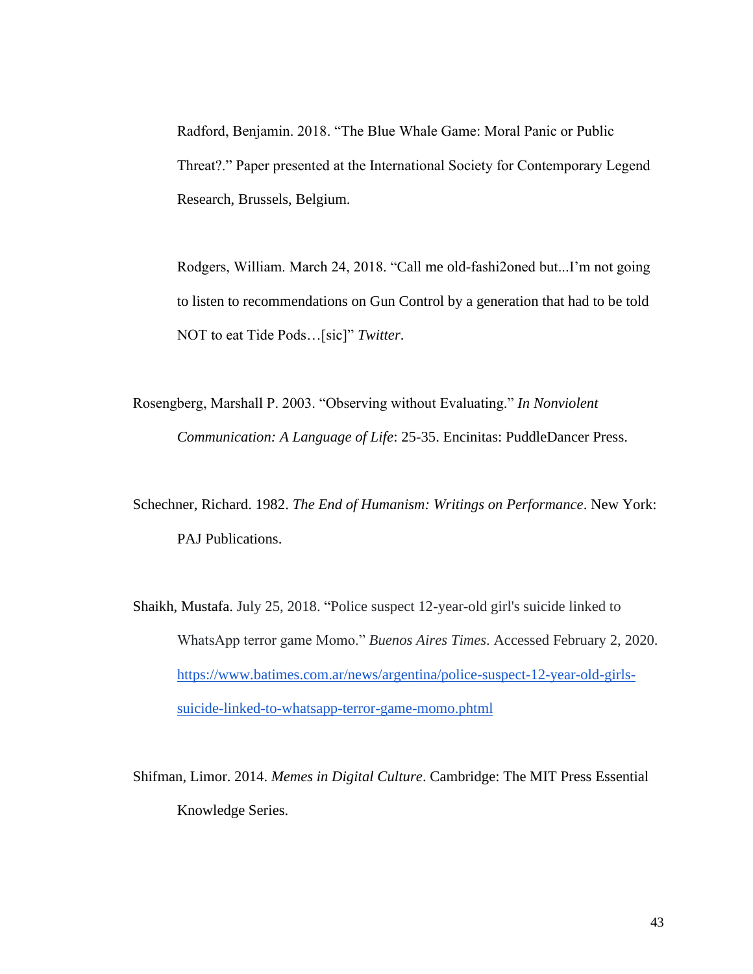Radford, Benjamin. 2018. "The Blue Whale Game: Moral Panic or Public Threat?." Paper presented at the International Society for Contemporary Legend Research, Brussels, Belgium.

Rodgers, William. March 24, 2018. "Call me old-fashi2oned but...I'm not going to listen to recommendations on Gun Control by a generation that had to be told NOT to eat Tide Pods…[sic]" *Twitter*.

Rosengberg, Marshall P. 2003. "Observing without Evaluating." *In Nonviolent Communication: A Language of Life*: 25-35. Encinitas: PuddleDancer Press.

Schechner, Richard. 1982. *The End of Humanism: Writings on Performance*. New York: PAJ Publications.

- Shaikh, Mustafa. July 25, 2018. "Police suspect 12-year-old girl's suicide linked to WhatsApp terror game Momo." *Buenos Aires Times*. Accessed February 2, 2020. [https://www.batimes.com.ar/news/argentina/police-suspect-12-year-old-girls](https://www.batimes.com.ar/news/argentina/police-suspect-12-year-old-girls-suicide-linked-to-whatsapp-terror-game-momo.phtml)[suicide-linked-to-whatsapp-terror-game-momo.phtml](https://www.batimes.com.ar/news/argentina/police-suspect-12-year-old-girls-suicide-linked-to-whatsapp-terror-game-momo.phtml)
- Shifman, Limor. 2014. *Memes in Digital Culture*. Cambridge: The MIT Press Essential Knowledge Series.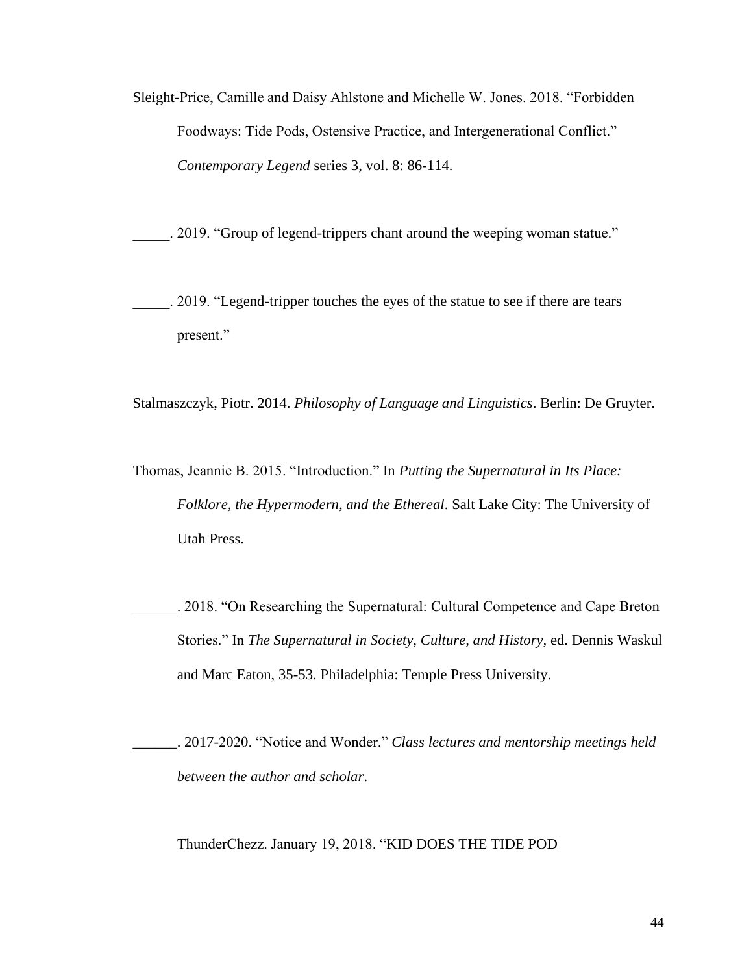Sleight-Price, Camille and Daisy Ahlstone and Michelle W. Jones. 2018. "Forbidden Foodways: Tide Pods, Ostensive Practice, and Intergenerational Conflict." *Contemporary Legend* series 3, vol. 8: 86-114.

\_\_\_\_\_. 2019. "Group of legend-trippers chant around the weeping woman statue."

\_\_\_\_\_. 2019. "Legend-tripper touches the eyes of the statue to see if there are tears present."

Stalmaszczyk, Piotr. 2014. *Philosophy of Language and Linguistics*. Berlin: De Gruyter.

- Thomas, Jeannie B. 2015. "Introduction." In *Putting the Supernatural in Its Place: Folklore, the Hypermodern, and the Ethereal*. Salt Lake City: The University of Utah Press.
	- \_\_\_\_\_\_. 2018. "On Researching the Supernatural: Cultural Competence and Cape Breton Stories." In *The Supernatural in Society, Culture, and History,* ed. Dennis Waskul and Marc Eaton, 35-53. Philadelphia: Temple Press University.

\_\_\_\_\_\_. 2017-2020. "Notice and Wonder." *Class lectures and mentorship meetings held between the author and scholar*.

ThunderChezz. January 19, 2018. "KID DOES THE TIDE POD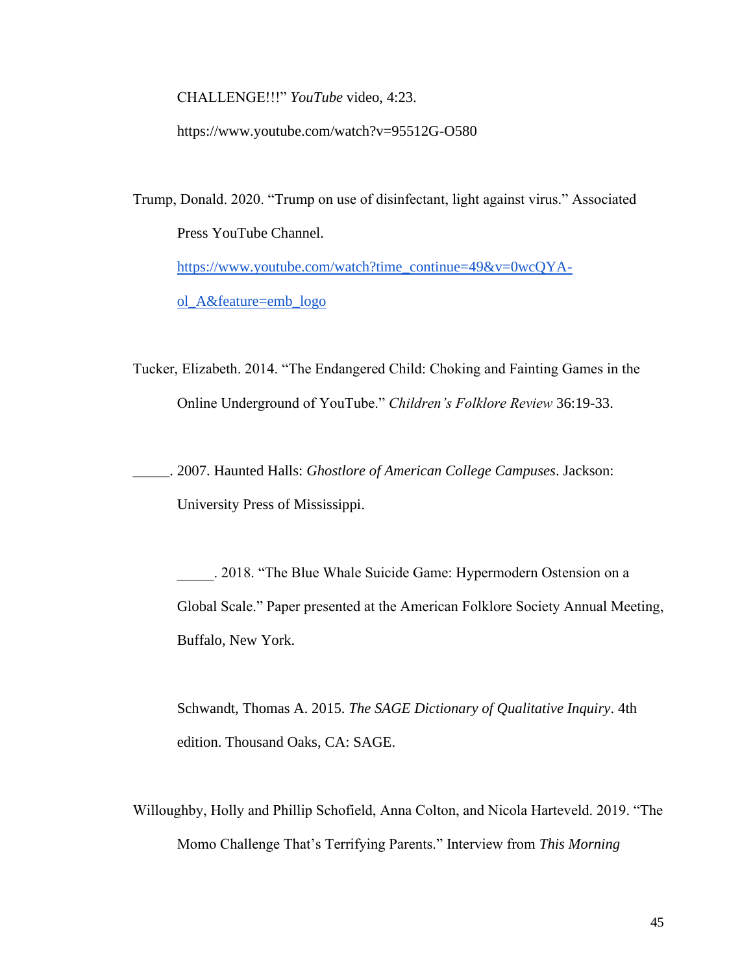CHALLENGE!!!" *YouTube* video, 4:23.

https://www.youtube.com/watch?v=95512G-O580

Trump, Donald. 2020. "Trump on use of disinfectant, light against virus." Associated Press YouTube Channel. [https://www.youtube.com/watch?time\\_continue=49&v=0wcQYA](https://www.youtube.com/watch?time_continue=49&v=0wcQYA-ol_A&feature=emb_logo)[ol\\_A&feature=emb\\_logo](https://www.youtube.com/watch?time_continue=49&v=0wcQYA-ol_A&feature=emb_logo)

Tucker, Elizabeth. 2014. "The Endangered Child: Choking and Fainting Games in the Online Underground of YouTube." *Children's Folklore Review* 36:19-33.

\_\_\_\_\_. 2007. Haunted Halls: *Ghostlore of American College Campuses*. Jackson: University Press of Mississippi.

\_\_\_\_\_. 2018. "The Blue Whale Suicide Game: Hypermodern Ostension on a Global Scale." Paper presented at the American Folklore Society Annual Meeting, Buffalo, New York.

Schwandt, Thomas A. 2015. *The SAGE Dictionary of Qualitative Inquiry*. 4th edition. Thousand Oaks, CA: SAGE.

Willoughby, Holly and Phillip Schofield, Anna Colton, and Nicola Harteveld. 2019. "The Momo Challenge That's Terrifying Parents." Interview from *This Morning*